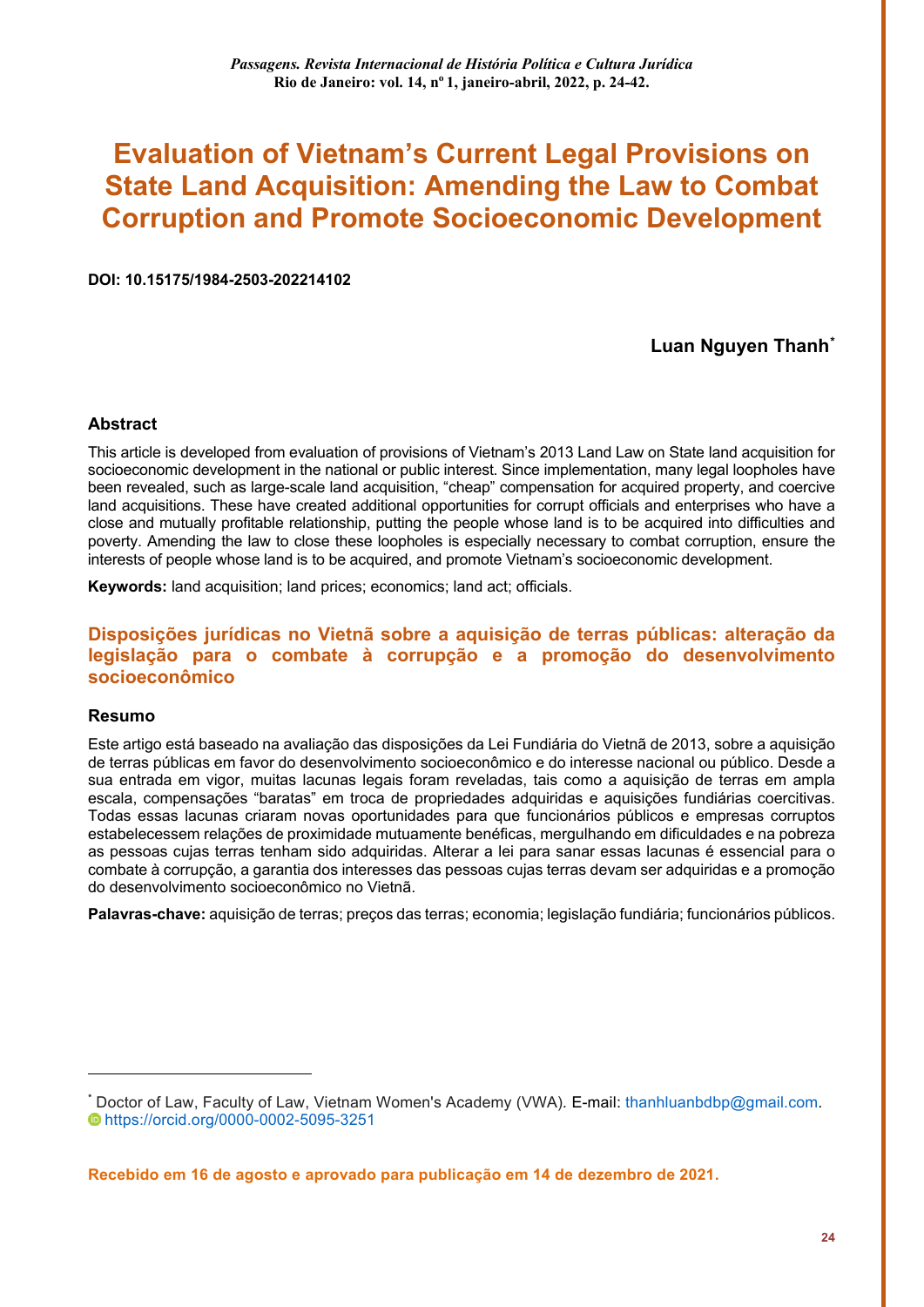# **Evaluation of Vietnam's Current Legal Provisions on State Land Acquisition: Amending the Law to Combat Corruption and Promote Socioeconomic Development**

**DOI: 10.15175/1984-2503-202214102**

#### **Luan Nguyen Thanh[\\*](#page-0-0)**

#### **Abstract**

This article is developed from evaluation of provisions of Vietnam's 2013 Land Law on State land acquisition for socioeconomic development in the national or public interest. Since implementation, many legal loopholes have been revealed, such as large-scale land acquisition, "cheap" compensation for acquired property, and coercive land acquisitions. These have created additional opportunities for corrupt officials and enterprises who have a close and mutually profitable relationship, putting the people whose land is to be acquired into difficulties and poverty. Amending the law to close these loopholes is especially necessary to combat corruption, ensure the interests of people whose land is to be acquired, and promote Vietnam's socioeconomic development.

**Keywords:** land acquisition; land prices; economics; land act; officials.

#### **Disposições jurídicas no Vietnã sobre a aquisição de terras públicas: alteração da legislação para o combate à corrupção e a promoção do desenvolvimento socioeconômico**

#### **Resumo**

<u>.</u>

Este artigo está baseado na avaliação das disposições da Lei Fundiária do Vietnã de 2013, sobre a aquisição de terras públicas em favor do desenvolvimento socioeconômico e do interesse nacional ou público. Desde a sua entrada em vigor, muitas lacunas legais foram reveladas, tais como a aquisição de terras em ampla escala, compensações "baratas" em troca de propriedades adquiridas e aquisições fundiárias coercitivas. Todas essas lacunas criaram novas oportunidades para que funcionários públicos e empresas corruptos estabelecessem relações de proximidade mutuamente benéficas, mergulhando em dificuldades e na pobreza as pessoas cujas terras tenham sido adquiridas. Alterar a lei para sanar essas lacunas é essencial para o combate à corrupção, a garantia dos interesses das pessoas cujas terras devam ser adquiridas e a promoção do desenvolvimento socioeconômico no Vietnã.

**Palavras-chave:** aquisição de terras; preços das terras; economia; legislação fundiária; funcionários públicos.

**Recebido em 16 de agosto e aprovado para publicação em 14 de dezembro de 2021.**

<span id="page-0-0"></span><sup>\*</sup> Doctor of Law, Faculty of Law, Vietnam Women's Academy (VWA)*.* E-mail: [thanhluanbdbp@gmail.com.](mailto:thanhluanbdbp@gmail.com) <https://orcid.org/0000-0002-5095-3251>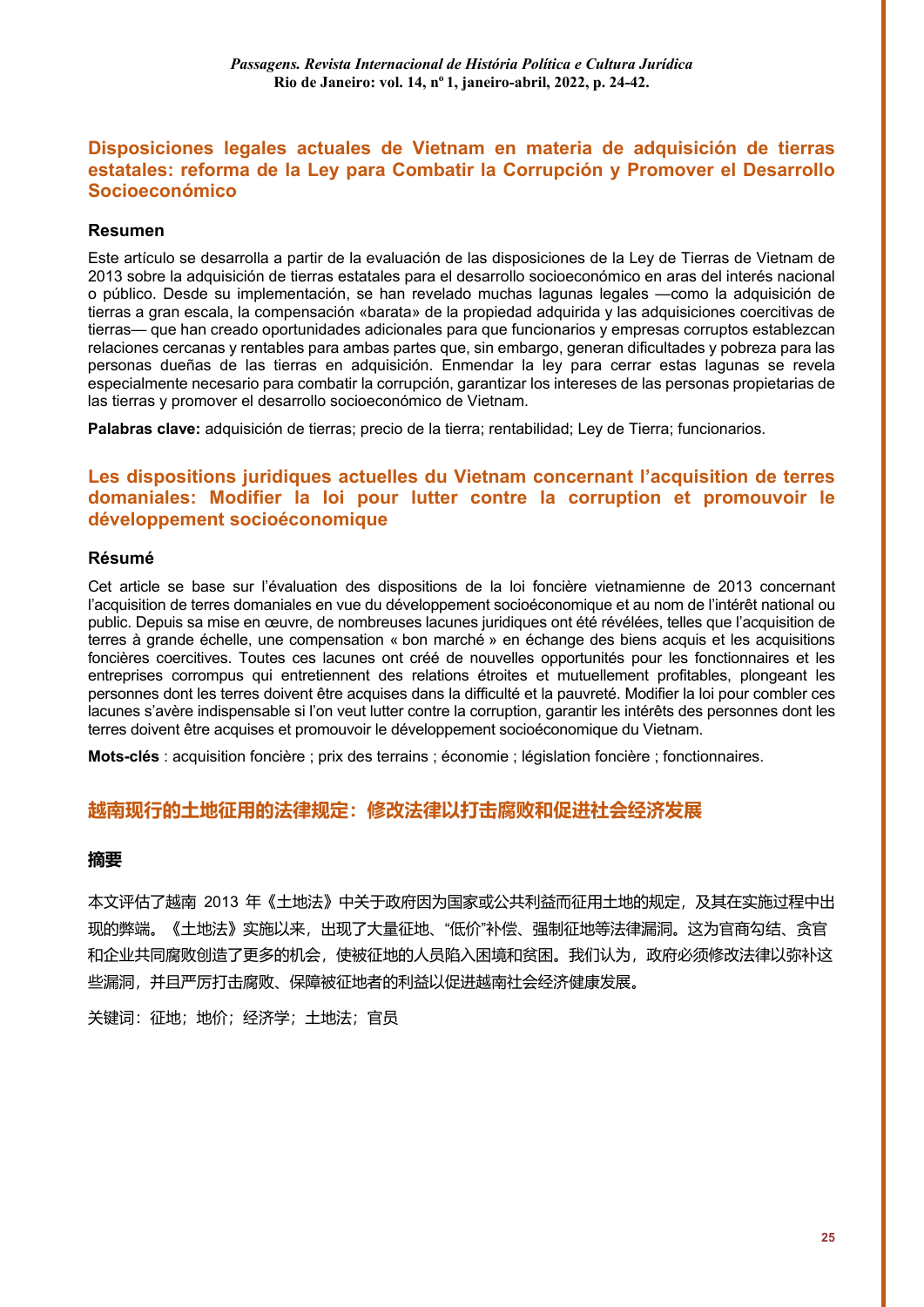### **Disposiciones legales actuales de Vietnam en materia de adquisición de tierras estatales: reforma de la Ley para Combatir la Corrupción y Promover el Desarrollo Socioeconómico**

#### **Resumen**

Este artículo se desarrolla a partir de la evaluación de las disposiciones de la Ley de Tierras de Vietnam de 2013 sobre la adquisición de tierras estatales para el desarrollo socioeconómico en aras del interés nacional o público. Desde su implementación, se han revelado muchas lagunas legales —como la adquisición de tierras a gran escala, la compensación «barata» de la propiedad adquirida y las adquisiciones coercitivas de tierras— que han creado oportunidades adicionales para que funcionarios y empresas corruptos establezcan relaciones cercanas y rentables para ambas partes que, sin embargo, generan dificultades y pobreza para las personas dueñas de las tierras en adquisición. Enmendar la ley para cerrar estas lagunas se revela especialmente necesario para combatir la corrupción, garantizar los intereses de las personas propietarias de las tierras y promover el desarrollo socioeconómico de Vietnam.

**Palabras clave:** adquisición de tierras; precio de la tierra; rentabilidad; Ley de Tierra; funcionarios.

### **Les dispositions juridiques actuelles du Vietnam concernant l'acquisition de terres domaniales: Modifier la loi pour lutter contre la corruption et promouvoir le développement socioéconomique**

#### **Résumé**

Cet article se base sur l'évaluation des dispositions de la loi foncière vietnamienne de 2013 concernant l'acquisition de terres domaniales en vue du développement socioéconomique et au nom de l'intérêt national ou public. Depuis sa mise en œuvre, de nombreuses lacunes juridiques ont été révélées, telles que l'acquisition de terres à grande échelle, une compensation « bon marché » en échange des biens acquis et les acquisitions foncières coercitives. Toutes ces lacunes ont créé de nouvelles opportunités pour les fonctionnaires et les entreprises corrompus qui entretiennent des relations étroites et mutuellement profitables, plongeant les personnes dont les terres doivent être acquises dans la difficulté et la pauvreté. Modifier la loi pour combler ces lacunes s'avère indispensable si l'on veut lutter contre la corruption, garantir les intérêts des personnes dont les terres doivent être acquises et promouvoir le développement socioéconomique du Vietnam.

**Mots-clés** : acquisition foncière ; prix des terrains ; économie ; législation foncière ; fonctionnaires.

#### **越南现行的土地征用的法律规定:修改法律以打击腐败和促进社会经济发展**

#### **摘要**

本文评估了越南 2013 年《土地法》中关于政府因为国家或公共利益而征用土地的规定,及其在实施过程中出 现的弊端。《土地法》实施以来,出现了大量征地、"低价"补偿、强制征地等法律漏洞。这为官商勾结、贪官 和企业共同腐败创造了更多的机会,使被征地的人员陷入困境和贫困。我们认为,政府必须修改法律以弥补这 些漏洞,并且严厉打击腐败、保障被征地者的利益以促进越南社会经济健康发展。

关键词:征地;地价;经济学;土地法;官员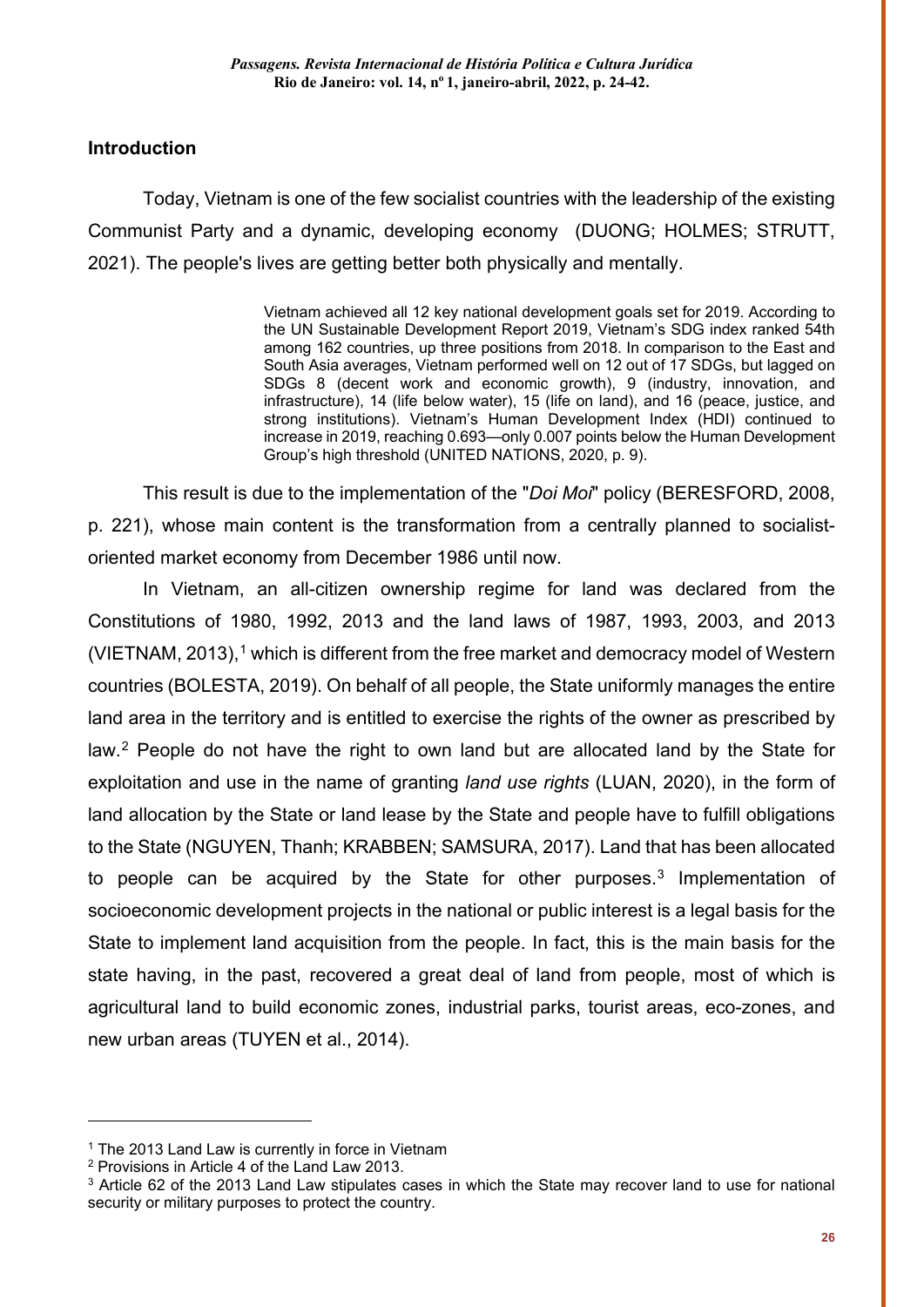### **Introduction**

Today, Vietnam is one of the few socialist countries with the leadership of the existing Communist Party and a dynamic, developing economy (DUONG; HOLMES; STRUTT, 2021). The people's lives are getting better both physically and mentally.

> Vietnam achieved all 12 key national development goals set for 2019. According to the UN Sustainable Development Report 2019, Vietnam's SDG index ranked 54th among 162 countries, up three positions from 2018. In comparison to the East and South Asia averages, Vietnam performed well on 12 out of 17 SDGs, but lagged on SDGs 8 (decent work and economic growth), 9 (industry, innovation, and infrastructure), 14 (life below water), 15 (life on land), and 16 (peace, justice, and strong institutions). Vietnam's Human Development Index (HDI) continued to increase in 2019, reaching 0.693—only 0.007 points below the Human Development Group's high threshold (UNITED NATIONS, 2020, p. 9).

This result is due to the implementation of the "*Doi Moi*" policy (BERESFORD, 2008, p. 221), whose main content is the transformation from a centrally planned to socialistoriented market economy from December 1986 until now.

In Vietnam, an all-citizen ownership regime for land was declared from the Constitutions of 1980, 1992, 2013 and the land laws of 1987, 1993, 2003, and 2013 (VIETNAM, 2013), [1](#page-2-0) which is different from the free market and democracy model of Western countries (BOLESTA, 2019). On behalf of all people, the State uniformly manages the entire land area in the territory and is entitled to exercise the rights of the owner as prescribed by law.[2](#page-2-1) People do not have the right to own land but are allocated land by the State for exploitation and use in the name of granting *land use rights* (LUAN, 2020), in the form of land allocation by the State or land lease by the State and people have to fulfill obligations to the State (NGUYEN, Thanh; KRABBEN; SAMSURA, 2017). Land that has been allocated to people can be acquired by the State for other purposes. [3](#page-2-2) Implementation of socioeconomic development projects in the national or public interest is a legal basis for the State to implement land acquisition from the people. In fact, this is the main basis for the state having, in the past, recovered a great deal of land from people, most of which is agricultural land to build economic zones, industrial parks, tourist areas, eco-zones, and new urban areas (TUYEN et al., 2014).

-

<span id="page-2-0"></span> $1$  The 2013 Land Law is currently in force in Vietnam

<span id="page-2-1"></span><sup>2</sup> Provisions in Article 4 of the Land Law 2013.

<span id="page-2-2"></span><sup>&</sup>lt;sup>3</sup> Article 62 of the 2013 Land Law stipulates cases in which the State may recover land to use for national security or military purposes to protect the country.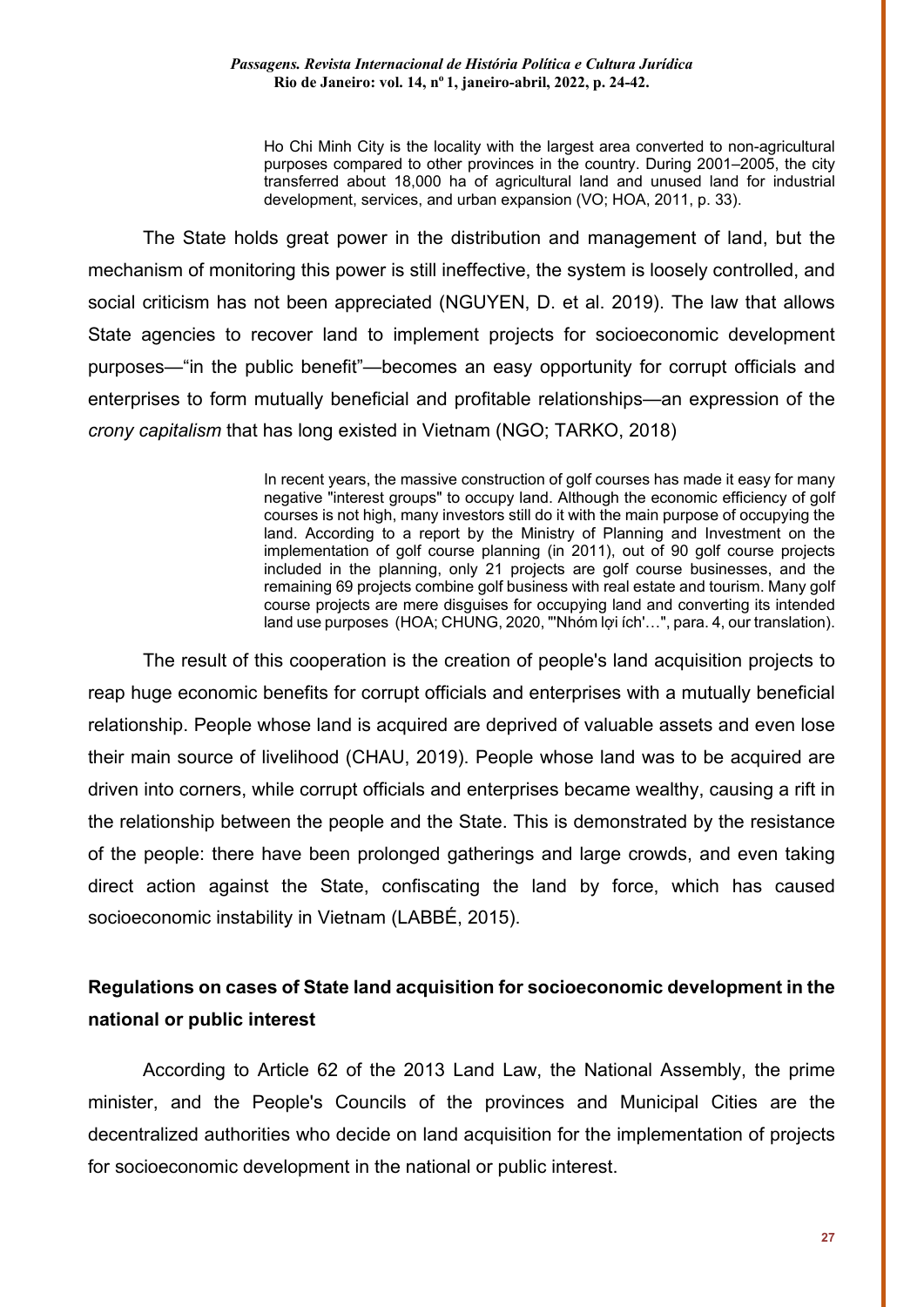Ho Chi Minh City is the locality with the largest area converted to non-agricultural purposes compared to other provinces in the country. During 2001–2005, the city transferred about 18,000 ha of agricultural land and unused land for industrial development, services, and urban expansion (VO; HOA, 2011, p. 33).

The State holds great power in the distribution and management of land, but the mechanism of monitoring this power is still ineffective, the system is loosely controlled, and social criticism has not been appreciated (NGUYEN, D. et al. 2019). The law that allows State agencies to recover land to implement projects for socioeconomic development purposes—"in the public benefit"—becomes an easy opportunity for corrupt officials and enterprises to form mutually beneficial and profitable relationships—an expression of the *crony capitalism* that has long existed in Vietnam (NGO; TARKO, 2018)

> In recent years, the massive construction of golf courses has made it easy for many negative "interest groups" to occupy land. Although the economic efficiency of golf courses is not high, many investors still do it with the main purpose of occupying the land. According to a report by the Ministry of Planning and Investment on the implementation of golf course planning (in 2011), out of 90 golf course projects included in the planning, only 21 projects are golf course businesses, and the remaining 69 projects combine golf business with real estate and tourism. Many golf course projects are mere disguises for occupying land and converting its intended land use purposes (HOA; CHUNG, 2020, "'Nhóm lợi ích'…", para. 4, our translation).

The result of this cooperation is the creation of people's land acquisition projects to reap huge economic benefits for corrupt officials and enterprises with a mutually beneficial relationship. People whose land is acquired are deprived of valuable assets and even lose their main source of livelihood (CHAU, 2019). People whose land was to be acquired are driven into corners, while corrupt officials and enterprises became wealthy, causing a rift in the relationship between the people and the State. This is demonstrated by the resistance of the people: there have been prolonged gatherings and large crowds, and even taking direct action against the State, confiscating the land by force, which has caused socioeconomic instability in Vietnam (LABBÉ, 2015).

## **Regulations on cases of State land acquisition for socioeconomic development in the national or public interest**

According to Article 62 of the 2013 Land Law, the National Assembly, the prime minister, and the People's Councils of the provinces and Municipal Cities are the decentralized authorities who decide on land acquisition for the implementation of projects for socioeconomic development in the national or public interest.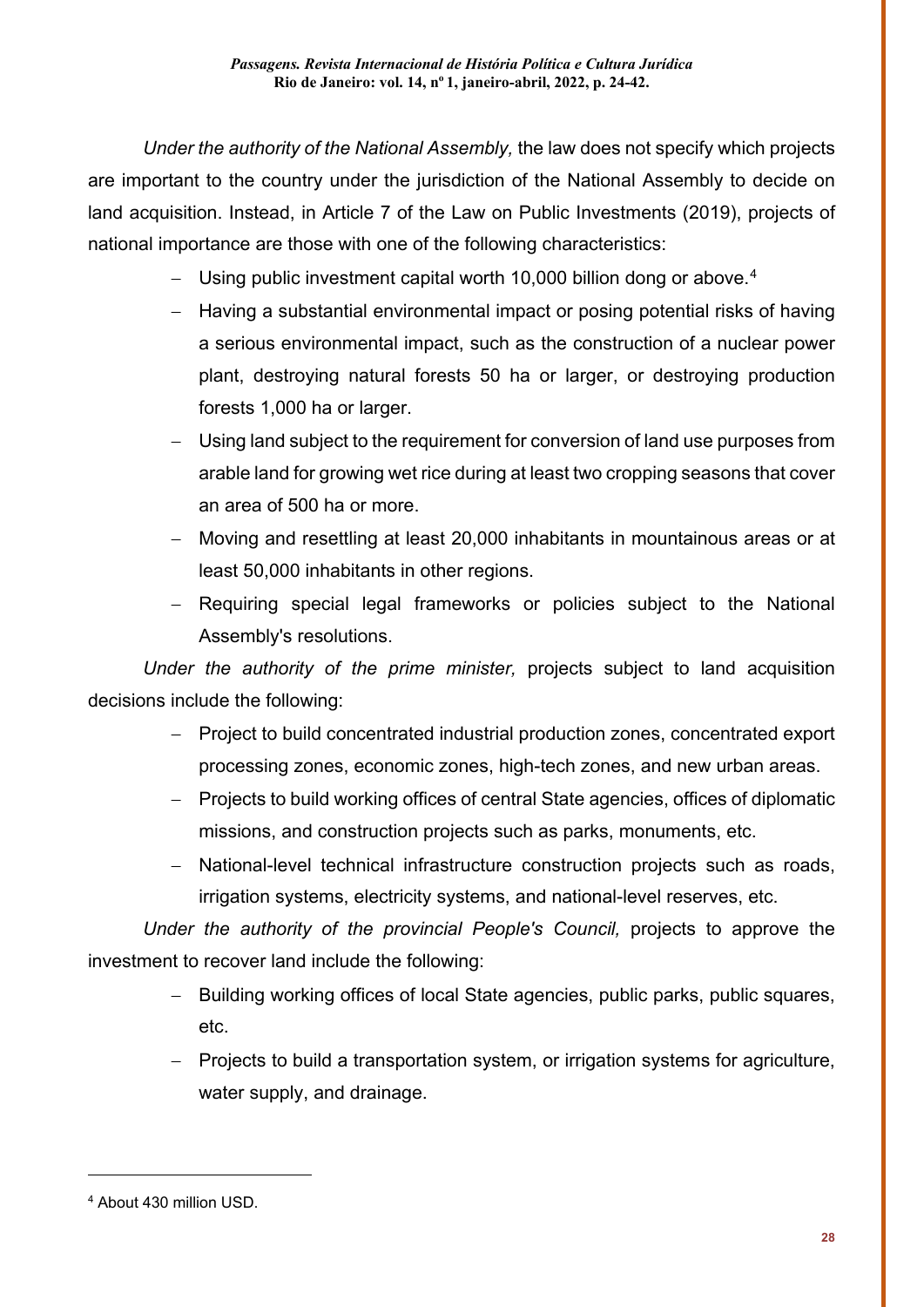*Under the authority of the National Assembly,* the law does not specify which projects are important to the country under the jurisdiction of the National Assembly to decide on land acquisition. Instead, in Article 7 of the Law on Public Investments (2019), projects of national importance are those with one of the following characteristics:

- $-$  Using public investment capital worth 10,000 billion dong or above. $^4$  $^4$
- − Having a substantial environmental impact or posing potential risks of having a serious environmental impact, such as the construction of a nuclear power plant, destroying natural forests 50 ha or larger, or destroying production forests 1,000 ha or larger.
- − Using land subject to the requirement for conversion of land use purposes from arable land for growing wet rice during at least two cropping seasons that cover an area of 500 ha or more.
- − Moving and resettling at least 20,000 inhabitants in mountainous areas or at least 50,000 inhabitants in other regions.
- − Requiring special legal frameworks or policies subject to the National Assembly's resolutions.

*Under the authority of the prime minister,* projects subject to land acquisition decisions include the following:

- − Project to build concentrated industrial production zones, concentrated export processing zones, economic zones, high-tech zones, and new urban areas.
- − Projects to build working offices of central State agencies, offices of diplomatic missions, and construction projects such as parks, monuments, etc.
- − National-level technical infrastructure construction projects such as roads, irrigation systems, electricity systems, and national-level reserves, etc.

*Under the authority of the provincial People's Council,* projects to approve the investment to recover land include the following:

- − Building working offices of local State agencies, public parks, public squares, etc.
- − Projects to build a transportation system, or irrigation systems for agriculture, water supply, and drainage.

-

<span id="page-4-0"></span><sup>4</sup> About 430 million USD.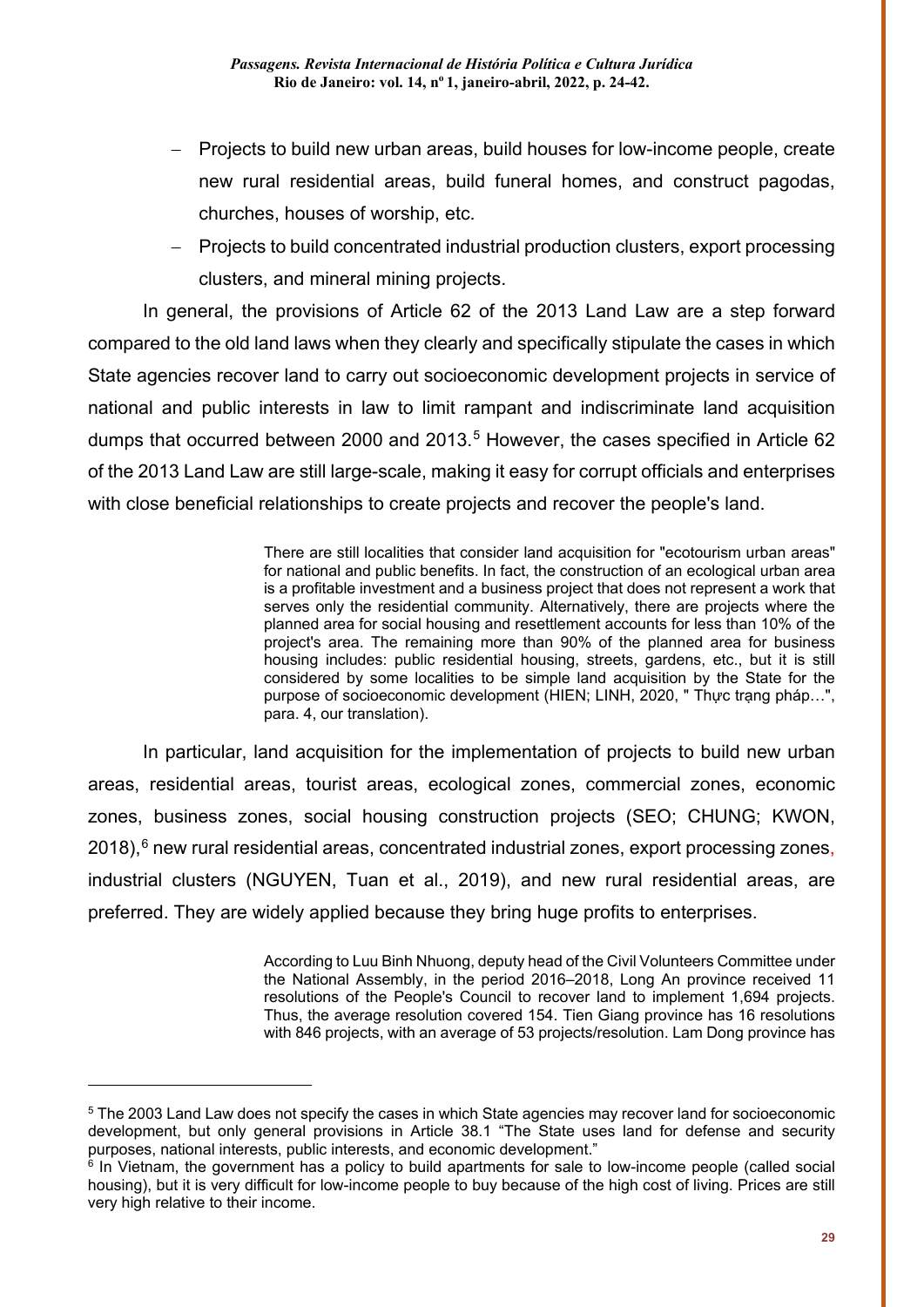- − Projects to build new urban areas, build houses for low-income people, create new rural residential areas, build funeral homes, and construct pagodas, churches, houses of worship, etc.
- − Projects to build concentrated industrial production clusters, export processing clusters, and mineral mining projects.

In general, the provisions of Article 62 of the 2013 Land Law are a step forward compared to the old land laws when they clearly and specifically stipulate the cases in which State agencies recover land to carry out socioeconomic development projects in service of national and public interests in law to limit rampant and indiscriminate land acquisition dumps that occurred between 2000 and 2013. [5](#page-5-0) However, the cases specified in Article 62 of the 2013 Land Law are still large-scale, making it easy for corrupt officials and enterprises with close beneficial relationships to create projects and recover the people's land.

> There are still localities that consider land acquisition for "ecotourism urban areas" for national and public benefits. In fact, the construction of an ecological urban area is a profitable investment and a business project that does not represent a work that serves only the residential community. Alternatively, there are projects where the planned area for social housing and resettlement accounts for less than 10% of the project's area. The remaining more than 90% of the planned area for business housing includes: public residential housing, streets, gardens, etc., but it is still considered by some localities to be simple land acquisition by the State for the purpose of socioeconomic development (HIEN; LINH, 2020, " Thực trạng pháp…", para. 4, our translation).

In particular, land acquisition for the implementation of projects to build new urban areas, residential areas, tourist areas, ecological zones, commercial zones, economic zones, business zones, social housing construction projects (SEO; CHUNG; KWON, 2018), [6](#page-5-1) new rural residential areas, concentrated industrial zones, export processing zones, industrial clusters (NGUYEN, Tuan et al., 2019), and new rural residential areas, are preferred. They are widely applied because they bring huge profits to enterprises.

> According to Luu Binh Nhuong, deputy head of the Civil Volunteers Committee under the National Assembly, in the period 2016–2018, Long An province received 11 resolutions of the People's Council to recover land to implement 1,694 projects. Thus, the average resolution covered 154. Tien Giang province has 16 resolutions with 846 projects, with an average of 53 projects/resolution. Lam Dong province has

<span id="page-5-0"></span><sup>&</sup>lt;sup>5</sup> The 2003 Land Law does not specify the cases in which State agencies may recover land for socioeconomic development, but only general provisions in Article 38.1 "The State uses land for defense and security purposes, national interests, public interests, and economic development."

<span id="page-5-1"></span> $6$  In Vietnam, the government has a policy to build apartments for sale to low-income people (called social housing), but it is very difficult for low-income people to buy because of the high cost of living. Prices are still very high relative to their income.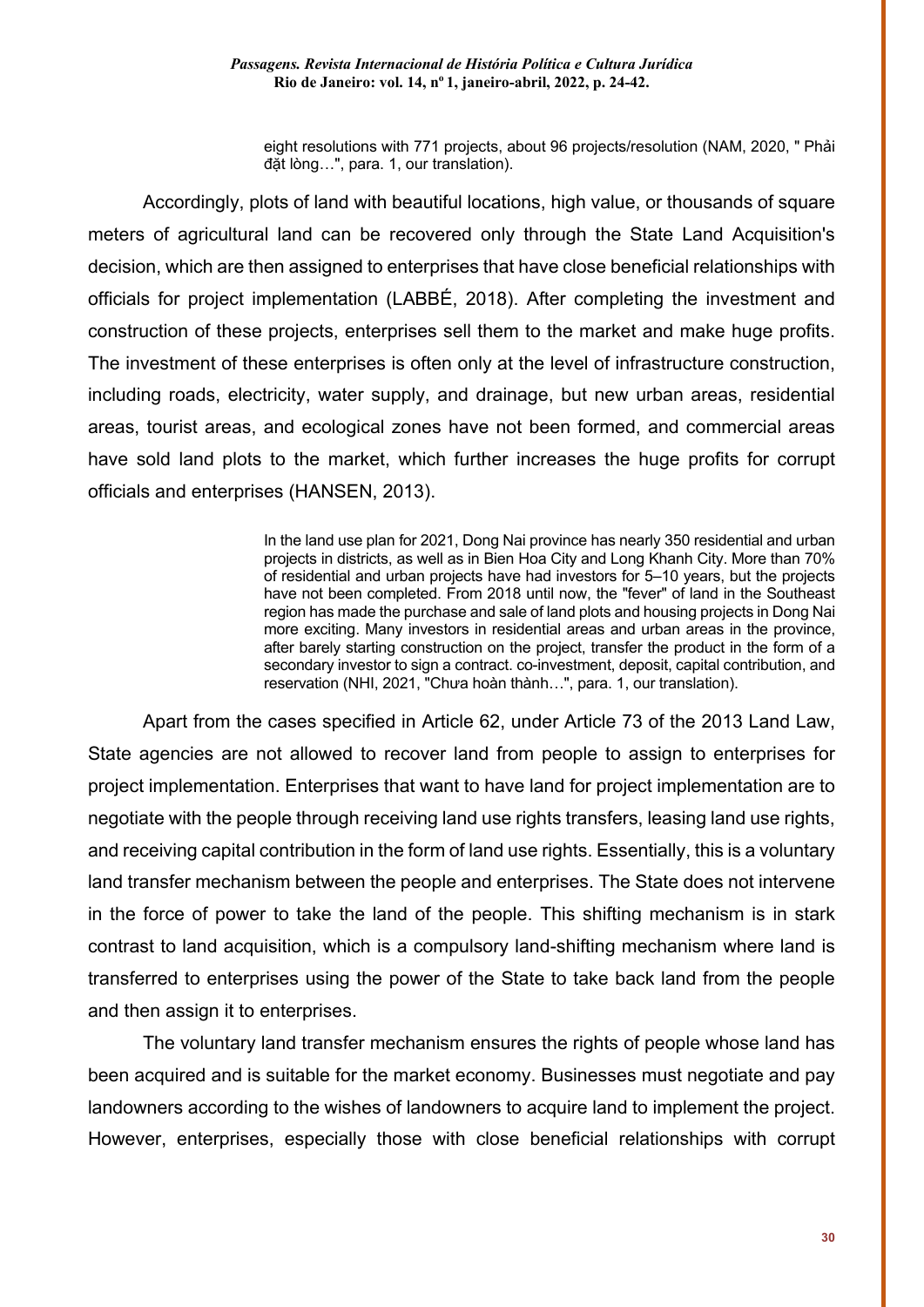eight resolutions with 771 projects, about 96 projects/resolution (NAM, 2020, " Phải đặt lòng…", para. 1, our translation).

Accordingly, plots of land with beautiful locations, high value, or thousands of square meters of agricultural land can be recovered only through the State Land Acquisition's decision, which are then assigned to enterprises that have close beneficial relationships with officials for project implementation (LABBÉ, 2018). After completing the investment and construction of these projects, enterprises sell them to the market and make huge profits. The investment of these enterprises is often only at the level of infrastructure construction, including roads, electricity, water supply, and drainage, but new urban areas, residential areas, tourist areas, and ecological zones have not been formed, and commercial areas have sold land plots to the market, which further increases the huge profits for corrupt officials and enterprises (HANSEN, 2013).

> In the land use plan for 2021, Dong Nai province has nearly 350 residential and urban projects in districts, as well as in Bien Hoa City and Long Khanh City. More than 70% of residential and urban projects have had investors for 5–10 years, but the projects have not been completed. From 2018 until now, the "fever" of land in the Southeast region has made the purchase and sale of land plots and housing projects in Dong Nai more exciting. Many investors in residential areas and urban areas in the province, after barely starting construction on the project, transfer the product in the form of a secondary investor to sign a contract. co-investment, deposit, capital contribution, and reservation (NHI, 2021, "Chưa hoàn thành…", para. 1, our translation).

Apart from the cases specified in Article 62, under Article 73 of the 2013 Land Law, State agencies are not allowed to recover land from people to assign to enterprises for project implementation. Enterprises that want to have land for project implementation are to negotiate with the people through receiving land use rights transfers, leasing land use rights, and receiving capital contribution in the form of land use rights. Essentially, this is a voluntary land transfer mechanism between the people and enterprises. The State does not intervene in the force of power to take the land of the people. This shifting mechanism is in stark contrast to land acquisition, which is a compulsory land-shifting mechanism where land is transferred to enterprises using the power of the State to take back land from the people and then assign it to enterprises.

The voluntary land transfer mechanism ensures the rights of people whose land has been acquired and is suitable for the market economy. Businesses must negotiate and pay landowners according to the wishes of landowners to acquire land to implement the project. However, enterprises, especially those with close beneficial relationships with corrupt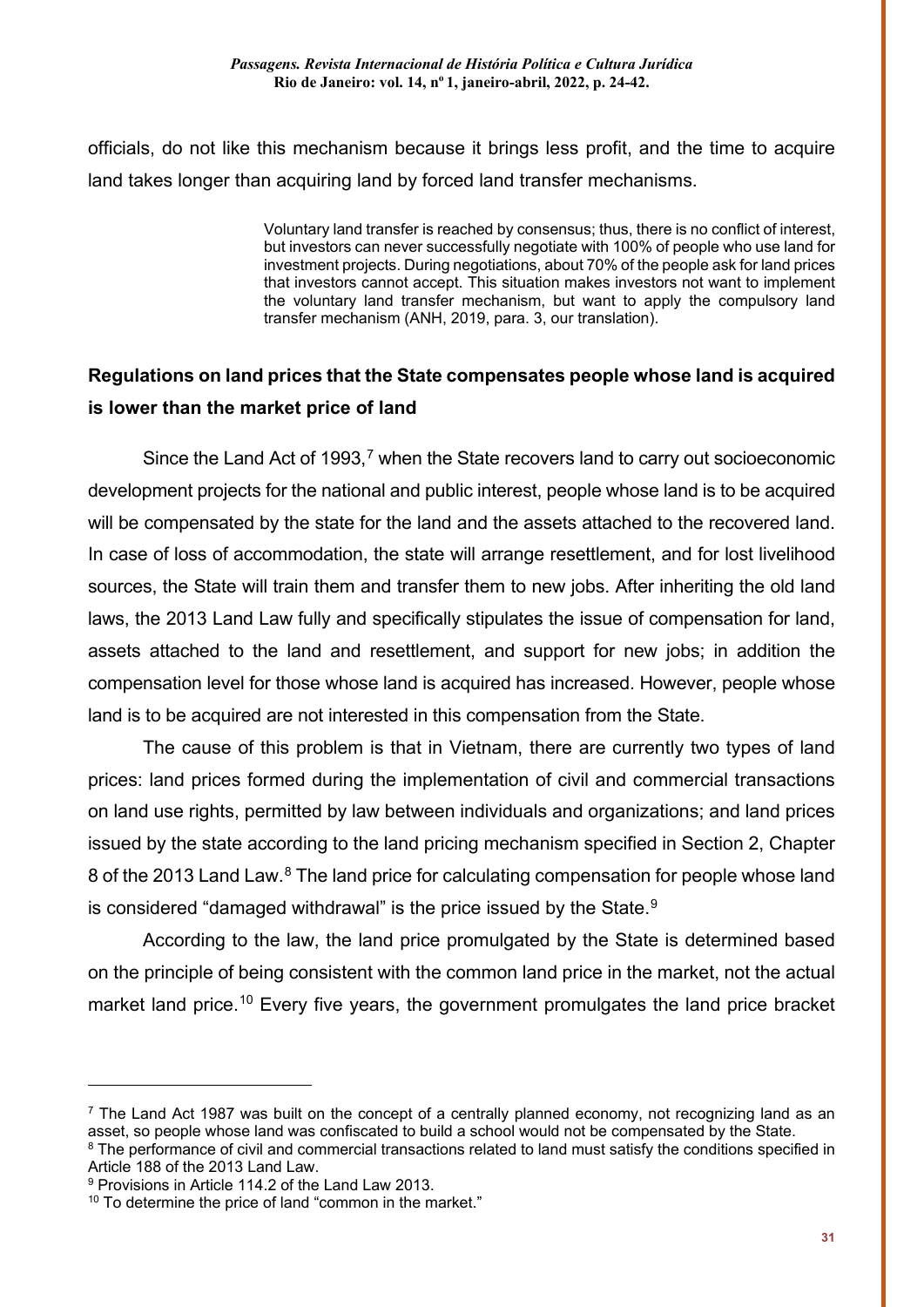officials, do not like this mechanism because it brings less profit, and the time to acquire land takes longer than acquiring land by forced land transfer mechanisms.

> Voluntary land transfer is reached by consensus; thus, there is no conflict of interest, but investors can never successfully negotiate with 100% of people who use land for investment projects. During negotiations, about 70% of the people ask for land prices that investors cannot accept. This situation makes investors not want to implement the voluntary land transfer mechanism, but want to apply the compulsory land transfer mechanism (ANH, 2019, para. 3, our translation).

## **Regulations on land prices that the State compensates people whose land is acquired is lower than the market price of land**

Since the Land Act of 1993,<sup>[7](#page-7-0)</sup> when the State recovers land to carry out socioeconomic development projects for the national and public interest, people whose land is to be acquired will be compensated by the state for the land and the assets attached to the recovered land. In case of loss of accommodation, the state will arrange resettlement, and for lost livelihood sources, the State will train them and transfer them to new jobs. After inheriting the old land laws, the 2013 Land Law fully and specifically stipulates the issue of compensation for land, assets attached to the land and resettlement, and support for new jobs; in addition the compensation level for those whose land is acquired has increased. However, people whose land is to be acquired are not interested in this compensation from the State.

The cause of this problem is that in Vietnam, there are currently two types of land prices: land prices formed during the implementation of civil and commercial transactions on land use rights, permitted by law between individuals and organizations; and land prices issued by the state according to the land pricing mechanism specified in Section 2, Chapter [8](#page-7-1) of the 2013 Land Law.<sup>8</sup> The land price for calculating compensation for people whose land is considered "damaged withdrawal" is the price issued by the State. $^9$  $^9$ 

According to the law, the land price promulgated by the State is determined based on the principle of being consistent with the common land price in the market, not the actual market land price.<sup>[10](#page-7-3)</sup> Every five years, the government promulgates the land price bracket

<span id="page-7-0"></span> $<sup>7</sup>$  The Land Act 1987 was built on the concept of a centrally planned economy, not recognizing land as an</sup> asset, so people whose land was confiscated to build a school would not be compensated by the State.

<span id="page-7-1"></span><sup>&</sup>lt;sup>8</sup> The performance of civil and commercial transactions related to land must satisfy the conditions specified in Article 188 of the 2013 Land Law.

<span id="page-7-2"></span><sup>9</sup> Provisions in Article 114.2 of the Land Law 2013.

<span id="page-7-3"></span> $10$  To determine the price of land "common in the market."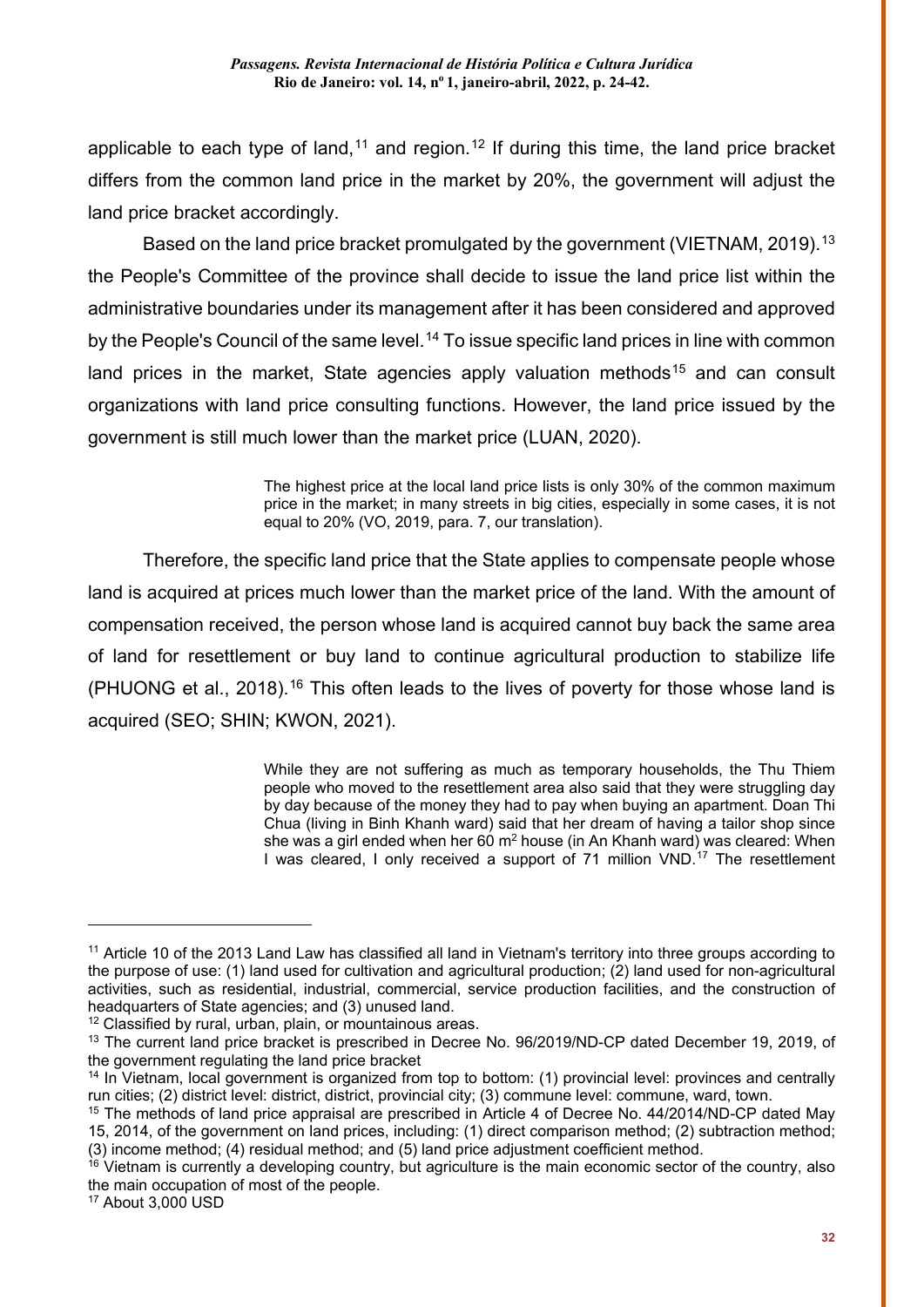applicable to each type of land,<sup>[11](#page-8-0)</sup> and region.<sup>[12](#page-8-1)</sup> If during this time, the land price bracket differs from the common land price in the market by 20%, the government will adjust the land price bracket accordingly.

Based on the land price bracket promulgated by the government (VIETNAM, 2019).<sup>[13](#page-8-2)</sup> the People's Committee of the province shall decide to issue the land price list within the administrative boundaries under its management after it has been considered and approved by the People's Council of the same level.<sup>[14](#page-8-3)</sup> To issue specific land prices in line with common land prices in the market, State agencies apply valuation methods<sup>[15](#page-8-4)</sup> and can consult organizations with land price consulting functions. However, the land price issued by the government is still much lower than the market price (LUAN, 2020).

> The highest price at the local land price lists is only 30% of the common maximum price in the market; in many streets in big cities, especially in some cases, it is not equal to 20% (VO, 2019, para. 7, our translation).

Therefore, the specific land price that the State applies to compensate people whose land is acquired at prices much lower than the market price of the land. With the amount of compensation received, the person whose land is acquired cannot buy back the same area of land for resettlement or buy land to continue agricultural production to stabilize life (PHUONG et al., 2018).<sup>[16](#page-8-5)</sup> This often leads to the lives of poverty for those whose land is acquired (SEO; SHIN; KWON, 2021).

> While they are not suffering as much as temporary households, the Thu Thiem people who moved to the resettlement area also said that they were struggling day by day because of the money they had to pay when buying an apartment. Doan Thi Chua (living in Binh Khanh ward) said that her dream of having a tailor shop since she was a girl ended when her 60 m<sup>2</sup> house (in An Khanh ward) was cleared: When I was cleared, I only received a support of 71 million VND.<sup>[17](#page-8-6)</sup> The resettlement

-

<span id="page-8-0"></span><sup>&</sup>lt;sup>11</sup> Article 10 of the 2013 Land Law has classified all land in Vietnam's territory into three groups according to the purpose of use: (1) land used for cultivation and agricultural production; (2) land used for non-agricultural activities, such as residential, industrial, commercial, service production facilities, and the construction of headquarters of State agencies; and (3) unused land.

<span id="page-8-1"></span><sup>&</sup>lt;sup>12</sup> Classified by rural, urban, plain, or mountainous areas.

<span id="page-8-2"></span><sup>13</sup> The current land price bracket is prescribed in Decree No. 96/2019/ND-CP dated December 19, 2019, of the government regulating the land price bracket

<span id="page-8-3"></span><sup>&</sup>lt;sup>14</sup> In Vietnam, local government is organized from top to bottom: (1) provincial level: provinces and centrally run cities; (2) district level: district, district, provincial city; (3) commune level: commune, ward, town.

<span id="page-8-4"></span><sup>15</sup> The methods of land price appraisal are prescribed in Article 4 of Decree No. 44/2014/ND-CP dated May 15, 2014, of the government on land prices, including: (1) direct comparison method; (2) subtraction method; (3) income method; (4) residual method; and (5) land price adjustment coefficient method.

<span id="page-8-5"></span><sup>&</sup>lt;sup>16</sup> Vietnam is currently a developing country, but agriculture is the main economic sector of the country, also the main occupation of most of the people.

<span id="page-8-6"></span><sup>17</sup> About 3,000 USD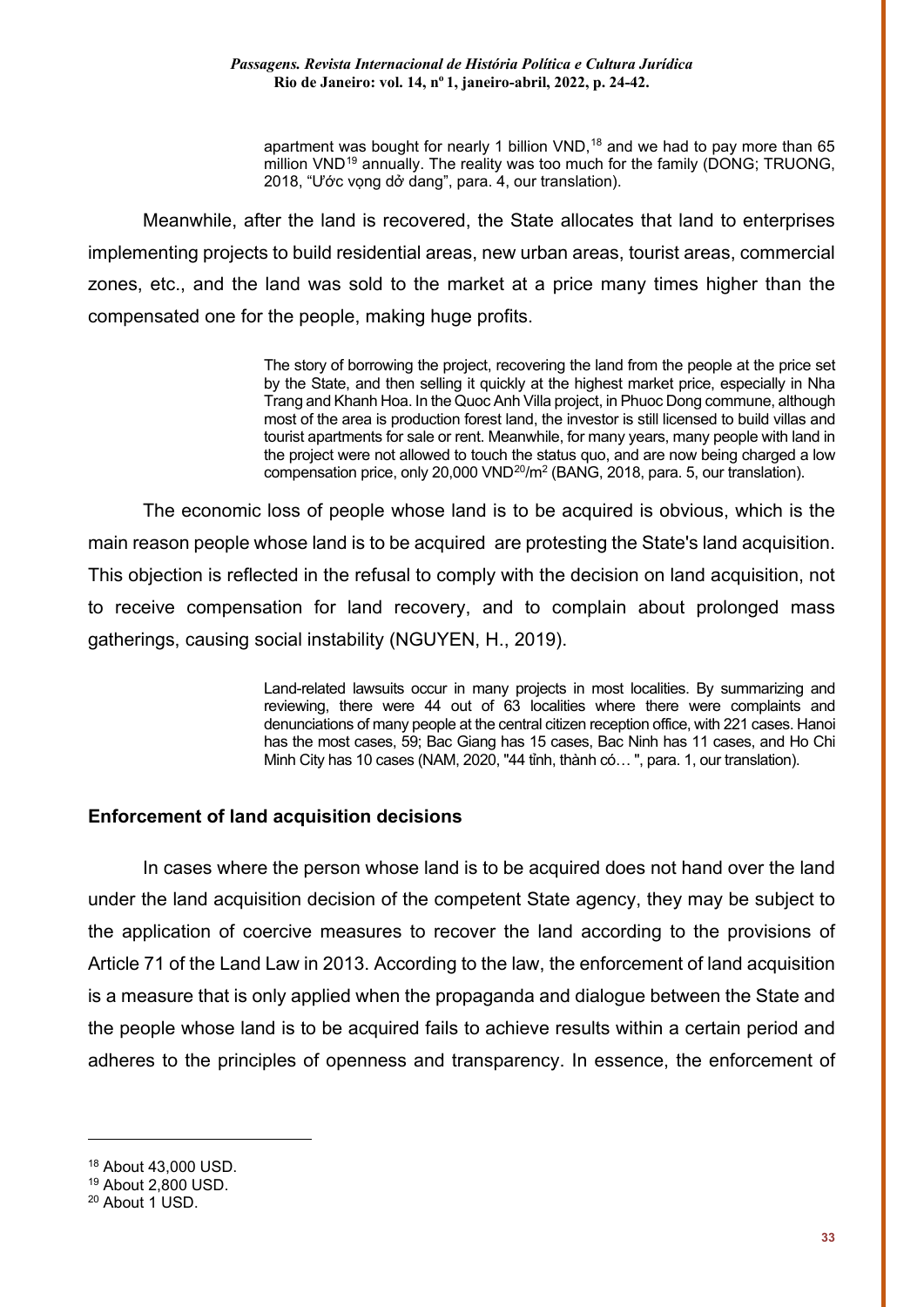apartment was bought for nearly 1 billion  $VND$ ,<sup>[18](#page-9-0)</sup> and we had to pay more than 65 million VND<sup>[19](#page-9-1)</sup> annually. The reality was too much for the family (DONG; TRUONG, 2018, "Ước vọng dở dang", para. 4, our translation).

Meanwhile, after the land is recovered, the State allocates that land to enterprises implementing projects to build residential areas, new urban areas, tourist areas, commercial zones, etc., and the land was sold to the market at a price many times higher than the compensated one for the people, making huge profits.

> The story of borrowing the project, recovering the land from the people at the price set by the State, and then selling it quickly at the highest market price, especially in Nha Trang and Khanh Hoa. In the Quoc Anh Villa project, in Phuoc Dong commune, although most of the area is production forest land, the investor is still licensed to build villas and tourist apartments for sale or rent. Meanwhile, for many years, many people with land in the project were not allowed to touch the status quo, and are now being charged a low compensation price, only 20,000 VND<sup>20</sup>/m<sup>2</sup> (BANG, 2018, para. 5, our translation).

The economic loss of people whose land is to be acquired is obvious, which is the main reason people whose land is to be acquired are protesting the State's land acquisition. This objection is reflected in the refusal to comply with the decision on land acquisition, not to receive compensation for land recovery, and to complain about prolonged mass gatherings, causing social instability (NGUYEN, H., 2019).

> Land-related lawsuits occur in many projects in most localities. By summarizing and reviewing, there were 44 out of 63 localities where there were complaints and denunciations of many people at the central citizen reception office, with 221 cases. Hanoi has the most cases, 59; Bac Giang has 15 cases, Bac Ninh has 11 cases, and Ho Chi Minh City has 10 cases (NAM, 2020, "44 tỉnh, thành có… ", para. 1, our translation).

### **Enforcement of land acquisition decisions**

In cases where the person whose land is to be acquired does not hand over the land under the land acquisition decision of the competent State agency, they may be subject to the application of coercive measures to recover the land according to the provisions of Article 71 of the Land Law in 2013. According to the law, the enforcement of land acquisition is a measure that is only applied when the propaganda and dialogue between the State and the people whose land is to be acquired fails to achieve results within a certain period and adheres to the principles of openness and transparency. In essence, the enforcement of

<span id="page-9-0"></span><sup>18</sup> About 43,000 USD.

<span id="page-9-1"></span><sup>19</sup> About 2,800 USD.

<span id="page-9-2"></span><sup>20</sup> About 1 USD.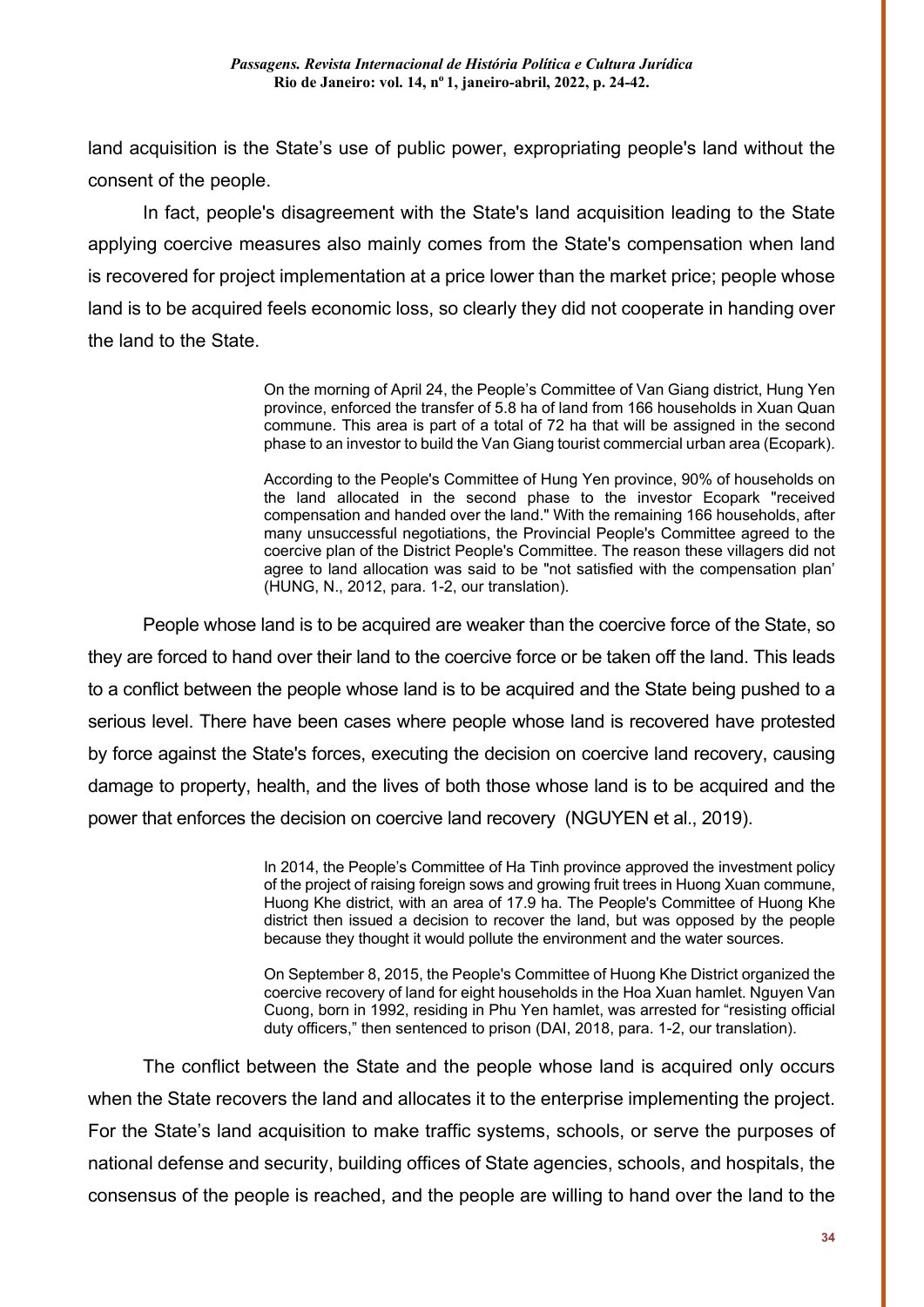land acquisition is the State's use of public power, expropriating people's land without the consent of the people.

In fact, people's disagreement with the State's land acquisition leading to the State applying coercive measures also mainly comes from the State's compensation when land is recovered for project implementation at a price lower than the market price; people whose land is to be acquired feels economic loss, so clearly they did not cooperate in handing over the land to the State.

> On the morning of April 24, the People's Committee of Van Giang district, Hung Yen province, enforced the transfer of 5.8 ha of land from 166 households in Xuan Quan commune. This area is part of a total of 72 ha that will be assigned in the second phase to an investor to build the Van Giang tourist commercial urban area (Ecopark).

> According to the People's Committee of Hung Yen province, 90% of households on the land allocated in the second phase to the investor Ecopark "received compensation and handed over the land." With the remaining 166 households, after many unsuccessful negotiations, the Provincial People's Committee agreed to the coercive plan of the District People's Committee. The reason these villagers did not agree to land allocation was said to be "not satisfied with the compensation plan' (HUNG, N., 2012, para. 1-2, our translation).

People whose land is to be acquired are weaker than the coercive force of the State, so they are forced to hand over their land to the coercive force or be taken off the land. This leads to a conflict between the people whose land is to be acquired and the State being pushed to a serious level. There have been cases where people whose land is recovered have protested by force against the State's forces, executing the decision on coercive land recovery, causing damage to property, health, and the lives of both those whose land is to be acquired and the power that enforces the decision on coercive land recovery (NGUYEN et al., 2019).

> In 2014, the People's Committee of Ha Tinh province approved the investment policy of the project of raising foreign sows and growing fruit trees in Huong Xuan commune, Huong Khe district, with an area of 17.9 ha. The People's Committee of Huong Khe district then issued a decision to recover the land, but was opposed by the people because they thought it would pollute the environment and the water sources.

> On September 8, 2015, the People's Committee of Huong Khe District organized the coercive recovery of land for eight households in the Hoa Xuan hamlet. Nguyen Van Cuong, born in 1992, residing in Phu Yen hamlet, was arrested for "resisting official duty officers," then sentenced to prison (DAI, 2018, para. 1-2, our translation).

The conflict between the State and the people whose land is acquired only occurs when the State recovers the land and allocates it to the enterprise implementing the project. For the State's land acquisition to make traffic systems, schools, or serve the purposes of national defense and security, building offices of State agencies, schools, and hospitals, the consensus of the people is reached, and the people are willing to hand over the land to the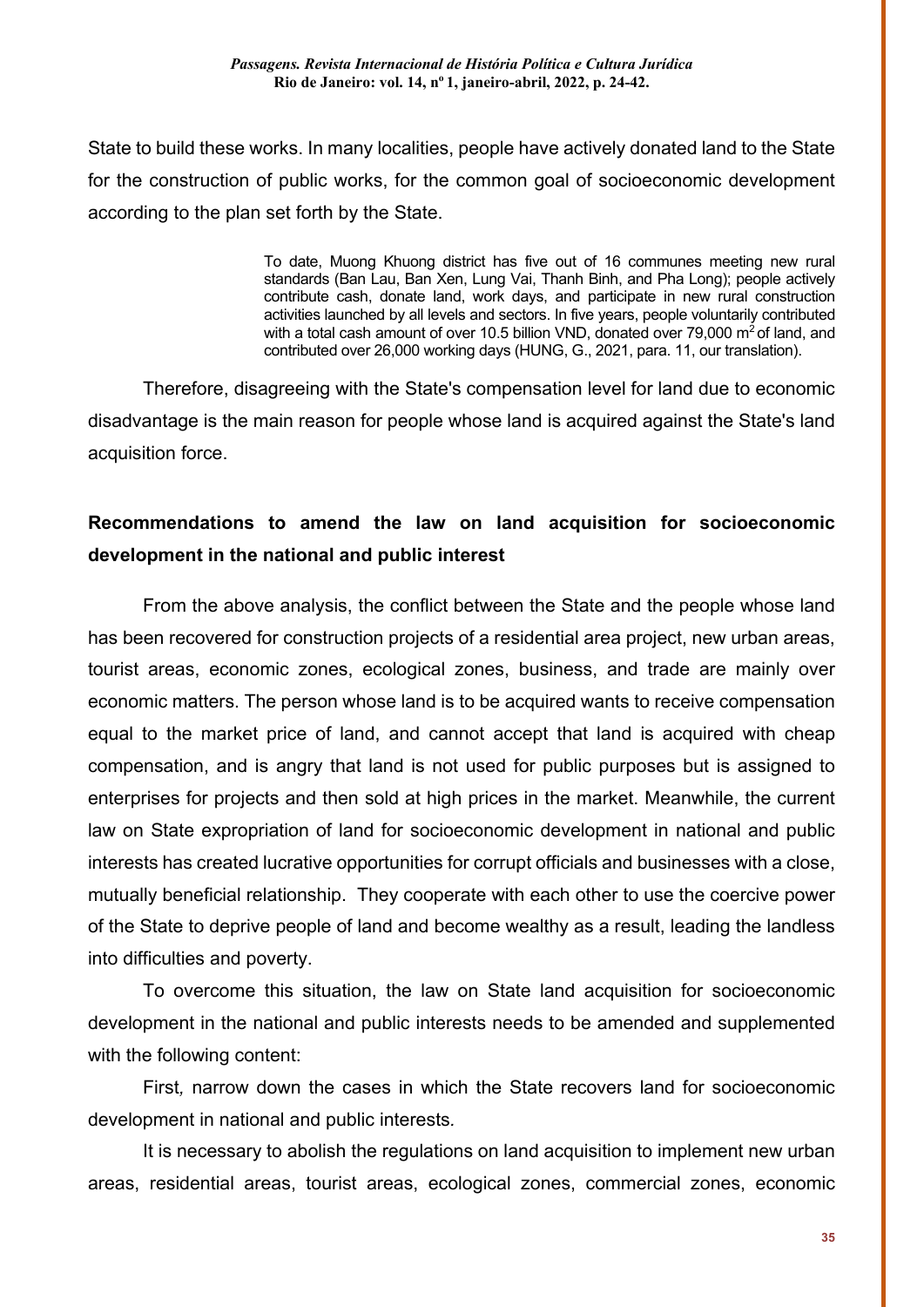State to build these works. In many localities, people have actively donated land to the State for the construction of public works, for the common goal of socioeconomic development according to the plan set forth by the State.

> To date, Muong Khuong district has five out of 16 communes meeting new rural standards (Ban Lau, Ban Xen, Lung Vai, Thanh Binh, and Pha Long); people actively contribute cash, donate land, work days, and participate in new rural construction activities launched by all levels and sectors. In five years, people voluntarily contributed with a total cash amount of over 10.5 billion VND, donated over 79,000  $\text{m}^2$  of land, and contributed over 26,000 working days (HUNG, G., 2021, para. 11, our translation).

Therefore, disagreeing with the State's compensation level for land due to economic disadvantage is the main reason for people whose land is acquired against the State's land acquisition force.

## **Recommendations to amend the law on land acquisition for socioeconomic development in the national and public interest**

From the above analysis, the conflict between the State and the people whose land has been recovered for construction projects of a residential area project, new urban areas, tourist areas, economic zones, ecological zones, business, and trade are mainly over economic matters. The person whose land is to be acquired wants to receive compensation equal to the market price of land, and cannot accept that land is acquired with cheap compensation, and is angry that land is not used for public purposes but is assigned to enterprises for projects and then sold at high prices in the market. Meanwhile, the current law on State expropriation of land for socioeconomic development in national and public interests has created lucrative opportunities for corrupt officials and businesses with a close, mutually beneficial relationship. They cooperate with each other to use the coercive power of the State to deprive people of land and become wealthy as a result, leading the landless into difficulties and poverty.

To overcome this situation, the law on State land acquisition for socioeconomic development in the national and public interests needs to be amended and supplemented with the following content:

First*,* narrow down the cases in which the State recovers land for socioeconomic development in national and public interests*.*

It is necessary to abolish the regulations on land acquisition to implement new urban areas, residential areas, tourist areas, ecological zones, commercial zones, economic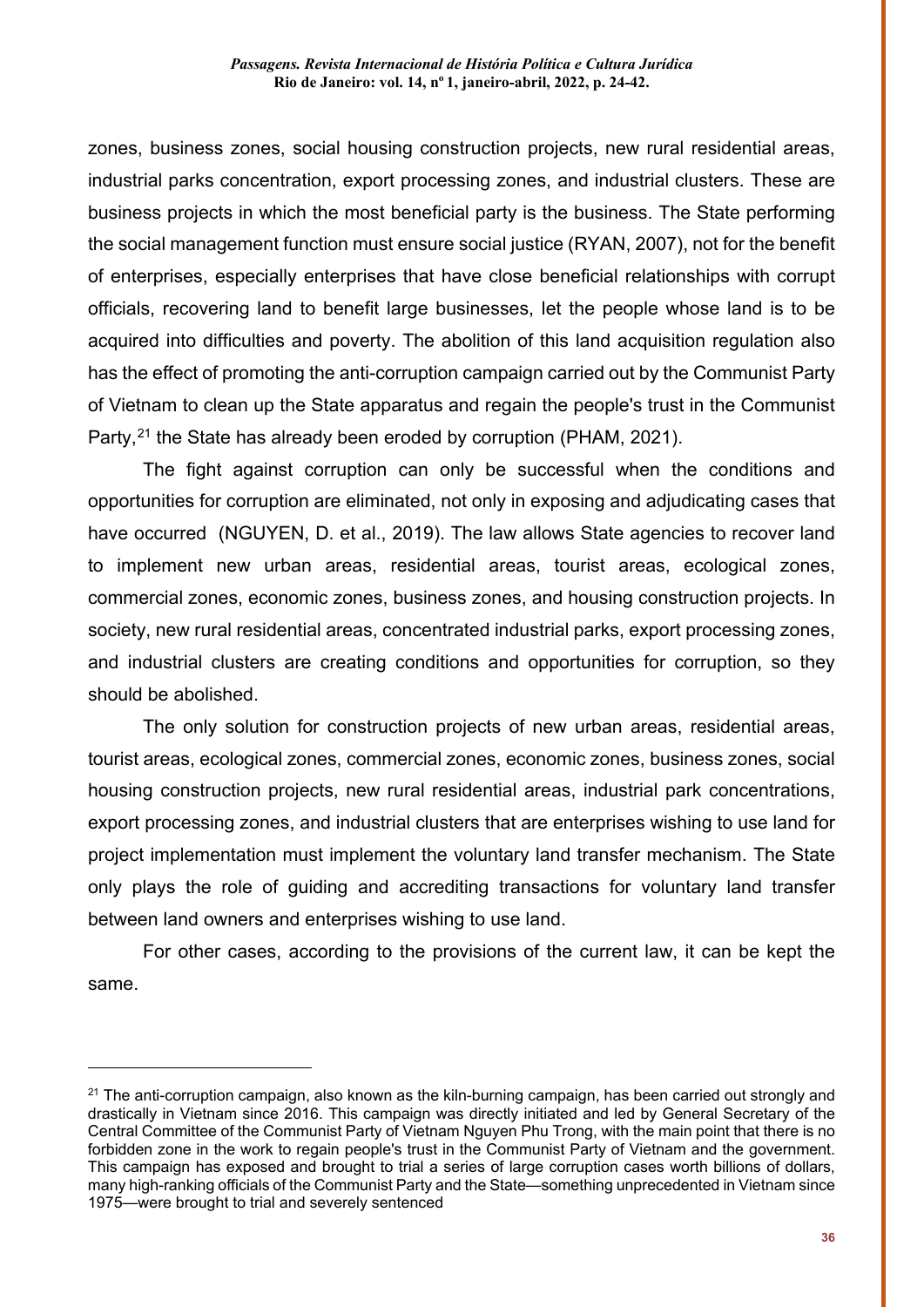zones, business zones, social housing construction projects, new rural residential areas, industrial parks concentration, export processing zones, and industrial clusters. These are business projects in which the most beneficial party is the business. The State performing the social management function must ensure social justice (RYAN, 2007), not for the benefit of enterprises, especially enterprises that have close beneficial relationships with corrupt officials, recovering land to benefit large businesses, let the people whose land is to be acquired into difficulties and poverty. The abolition of this land acquisition regulation also has the effect of promoting the anti-corruption campaign carried out by the Communist Party of Vietnam to clean up the State apparatus and regain the people's trust in the Communist Party,<sup>[21](#page-12-0)</sup> the State has already been eroded by corruption (PHAM, 2021).

The fight against corruption can only be successful when the conditions and opportunities for corruption are eliminated, not only in exposing and adjudicating cases that have occurred (NGUYEN, D. et al., 2019). The law allows State agencies to recover land to implement new urban areas, residential areas, tourist areas, ecological zones, commercial zones, economic zones, business zones, and housing construction projects. In society, new rural residential areas, concentrated industrial parks, export processing zones, and industrial clusters are creating conditions and opportunities for corruption, so they should be abolished.

The only solution for construction projects of new urban areas, residential areas, tourist areas, ecological zones, commercial zones, economic zones, business zones, social housing construction projects, new rural residential areas, industrial park concentrations, export processing zones, and industrial clusters that are enterprises wishing to use land for project implementation must implement the voluntary land transfer mechanism. The State only plays the role of guiding and accrediting transactions for voluntary land transfer between land owners and enterprises wishing to use land.

For other cases, according to the provisions of the current law, it can be kept the same.

<span id="page-12-0"></span> $21$  The anti-corruption campaign, also known as the kiln-burning campaign, has been carried out strongly and drastically in Vietnam since 2016. This campaign was directly initiated and led by General Secretary of the Central Committee of the Communist Party of Vietnam Nguyen Phu Trong, with the main point that there is no forbidden zone in the work to regain people's trust in the Communist Party of Vietnam and the government. This campaign has exposed and brought to trial a series of large corruption cases worth billions of dollars, many high-ranking officials of the Communist Party and the State—something unprecedented in Vietnam since 1975—were brought to trial and severely sentenced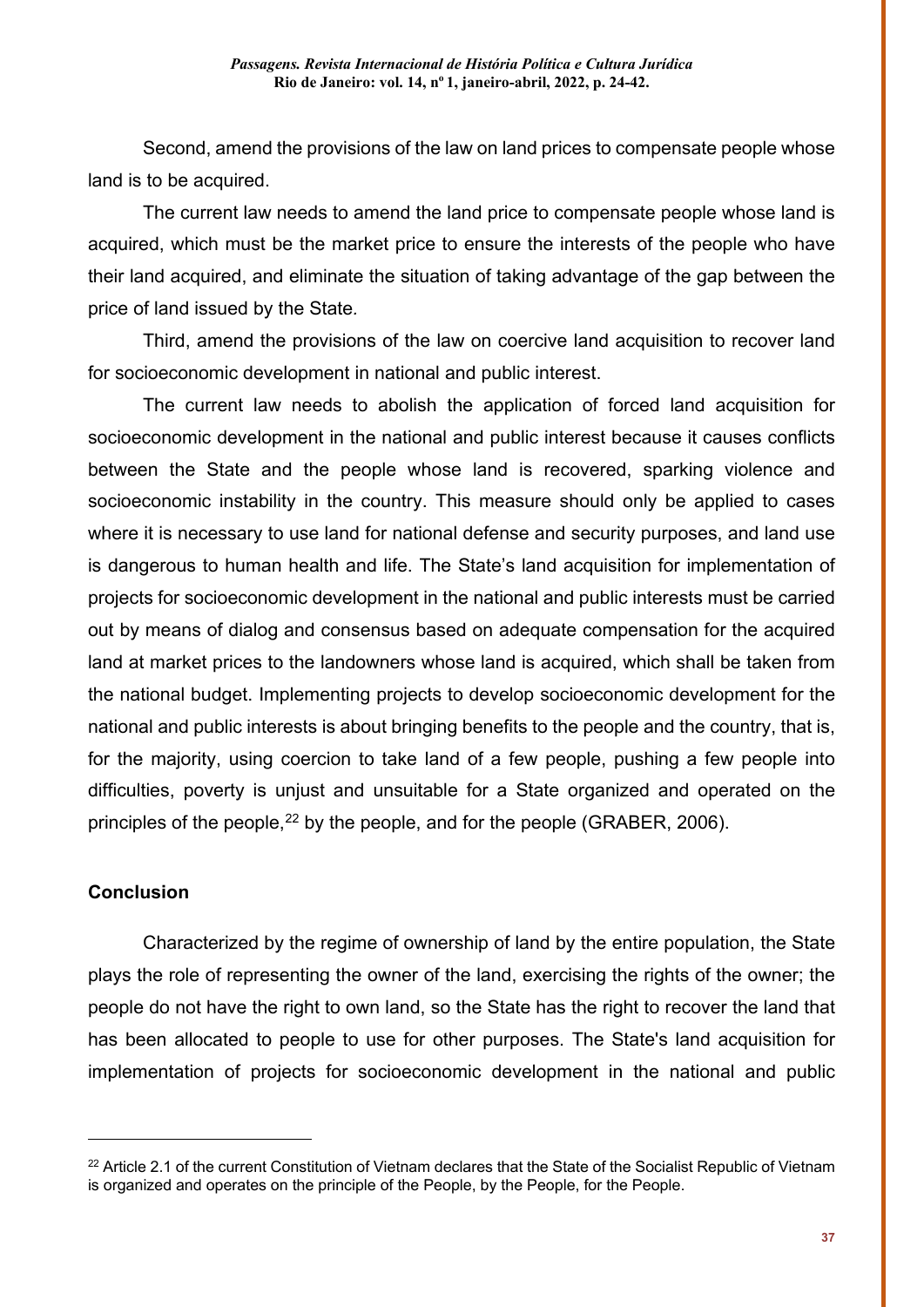Second, amend the provisions of the law on land prices to compensate people whose land is to be acquired.

The current law needs to amend the land price to compensate people whose land is acquired, which must be the market price to ensure the interests of the people who have their land acquired, and eliminate the situation of taking advantage of the gap between the price of land issued by the State*.*

Third, amend the provisions of the law on coercive land acquisition to recover land for socioeconomic development in national and public interest.

The current law needs to abolish the application of forced land acquisition for socioeconomic development in the national and public interest because it causes conflicts between the State and the people whose land is recovered, sparking violence and socioeconomic instability in the country. This measure should only be applied to cases where it is necessary to use land for national defense and security purposes, and land use is dangerous to human health and life. The State's land acquisition for implementation of projects for socioeconomic development in the national and public interests must be carried out by means of dialog and consensus based on adequate compensation for the acquired land at market prices to the landowners whose land is acquired, which shall be taken from the national budget. Implementing projects to develop socioeconomic development for the national and public interests is about bringing benefits to the people and the country, that is, for the majority, using coercion to take land of a few people, pushing a few people into difficulties, poverty is unjust and unsuitable for a State organized and operated on the principles of the people,  $^{22}$  $^{22}$  $^{22}$  by the people, and for the people (GRABER, 2006).

## **Conclusion**

<u>.</u>

Characterized by the regime of ownership of land by the entire population, the State plays the role of representing the owner of the land, exercising the rights of the owner; the people do not have the right to own land, so the State has the right to recover the land that has been allocated to people to use for other purposes. The State's land acquisition for implementation of projects for socioeconomic development in the national and public

<span id="page-13-0"></span><sup>&</sup>lt;sup>22</sup> Article 2.1 of the current Constitution of Vietnam declares that the State of the Socialist Republic of Vietnam is organized and operates on the principle of the People, by the People, for the People.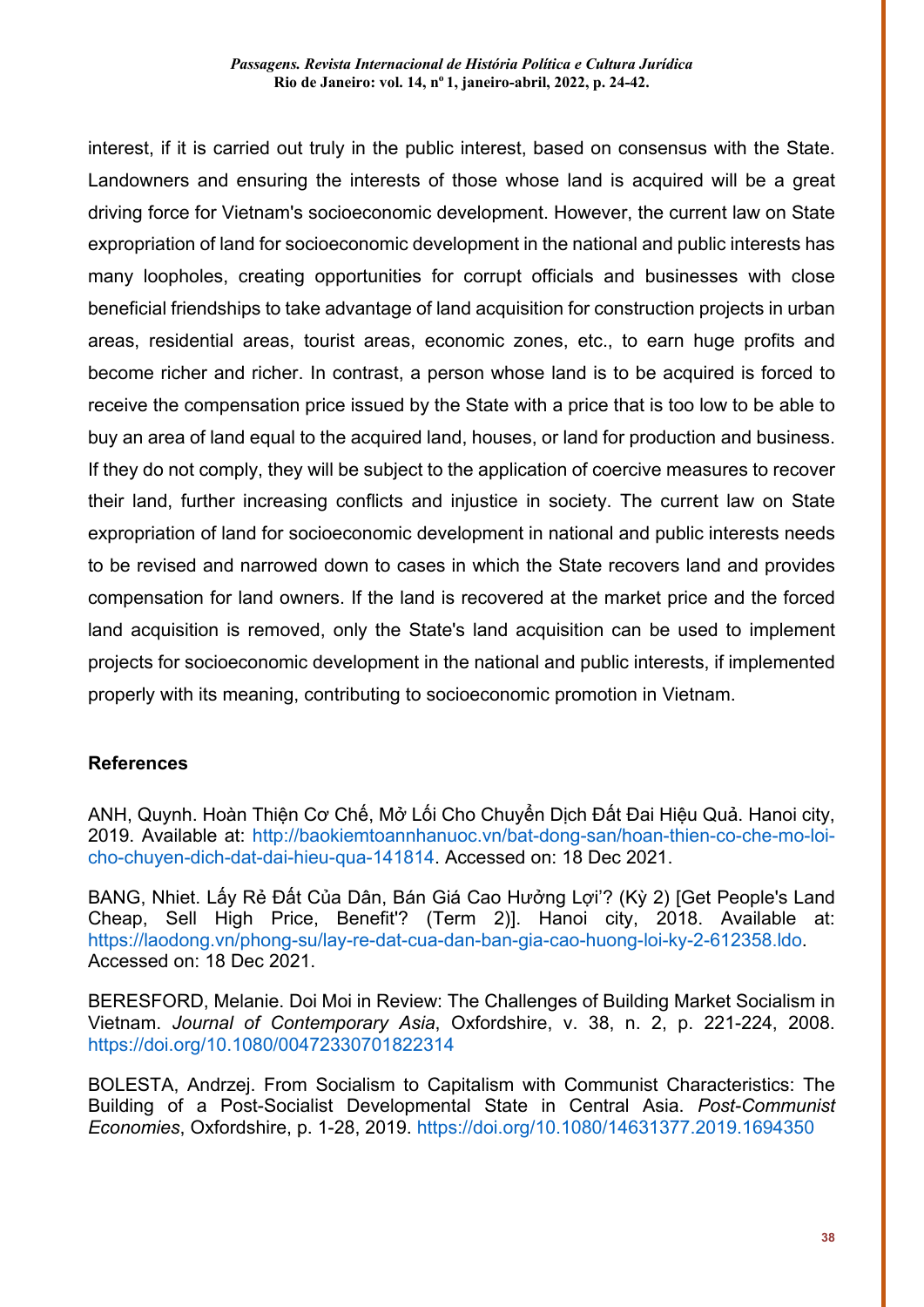interest, if it is carried out truly in the public interest, based on consensus with the State. Landowners and ensuring the interests of those whose land is acquired will be a great driving force for Vietnam's socioeconomic development. However, the current law on State expropriation of land for socioeconomic development in the national and public interests has many loopholes, creating opportunities for corrupt officials and businesses with close beneficial friendships to take advantage of land acquisition for construction projects in urban areas, residential areas, tourist areas, economic zones, etc., to earn huge profits and become richer and richer. In contrast, a person whose land is to be acquired is forced to receive the compensation price issued by the State with a price that is too low to be able to buy an area of land equal to the acquired land, houses, or land for production and business. If they do not comply, they will be subject to the application of coercive measures to recover their land, further increasing conflicts and injustice in society. The current law on State expropriation of land for socioeconomic development in national and public interests needs to be revised and narrowed down to cases in which the State recovers land and provides compensation for land owners. If the land is recovered at the market price and the forced land acquisition is removed, only the State's land acquisition can be used to implement projects for socioeconomic development in the national and public interests, if implemented properly with its meaning, contributing to socioeconomic promotion in Vietnam.

## **References**

ANH, Quynh. Hoàn Thiện Cơ Chế, Mở Lối Cho Chuyển Dịch Đất Đai Hiệu Quả. Hanoi city, 2019. Available at: [http://baokiemtoannhanuoc.vn/bat-dong-san/hoan-thien-co-che-mo-loi](http://baokiemtoannhanuoc.vn/bat-dong-san/hoan-thien-co-che-mo-loi-cho-chuyen-dich-dat-dai-hieu-qua-141814)[cho-chuyen-dich-dat-dai-hieu-qua-141814.](http://baokiemtoannhanuoc.vn/bat-dong-san/hoan-thien-co-che-mo-loi-cho-chuyen-dich-dat-dai-hieu-qua-141814) Accessed on: 18 Dec 2021.

BANG, Nhiet. Lấy Rẻ Đất Của Dân, Bán Giá Cao Hưởng Lợi'? (Kỳ 2) [Get People's Land Cheap, Sell High Price, Benefit'? (Term 2)]. Hanoi city, 2018. Available at: [https://laodong.vn/phong-su/lay-re-dat-cua-dan-ban-gia-cao-huong-loi-ky-2-612358.ldo.](https://laodong.vn/phong-su/lay-re-dat-cua-dan-ban-gia-cao-huong-loi-ky-2-612358.ldo) Accessed on: 18 Dec 2021.

BERESFORD, Melanie. Doi Moi in Review: The Challenges of Building Market Socialism in Vietnam. *Journal of Contemporary Asia*, Oxfordshire, v. 38, n. 2, p. 221-224, 2008. <https://doi.org/10.1080/00472330701822314>

BOLESTA, Andrzej. From Socialism to Capitalism with Communist Characteristics: The Building of a Post-Socialist Developmental State in Central Asia. *Post-Communist Economies*, Oxfordshire, p. 1-28, 2019.<https://doi.org/10.1080/14631377.2019.1694350>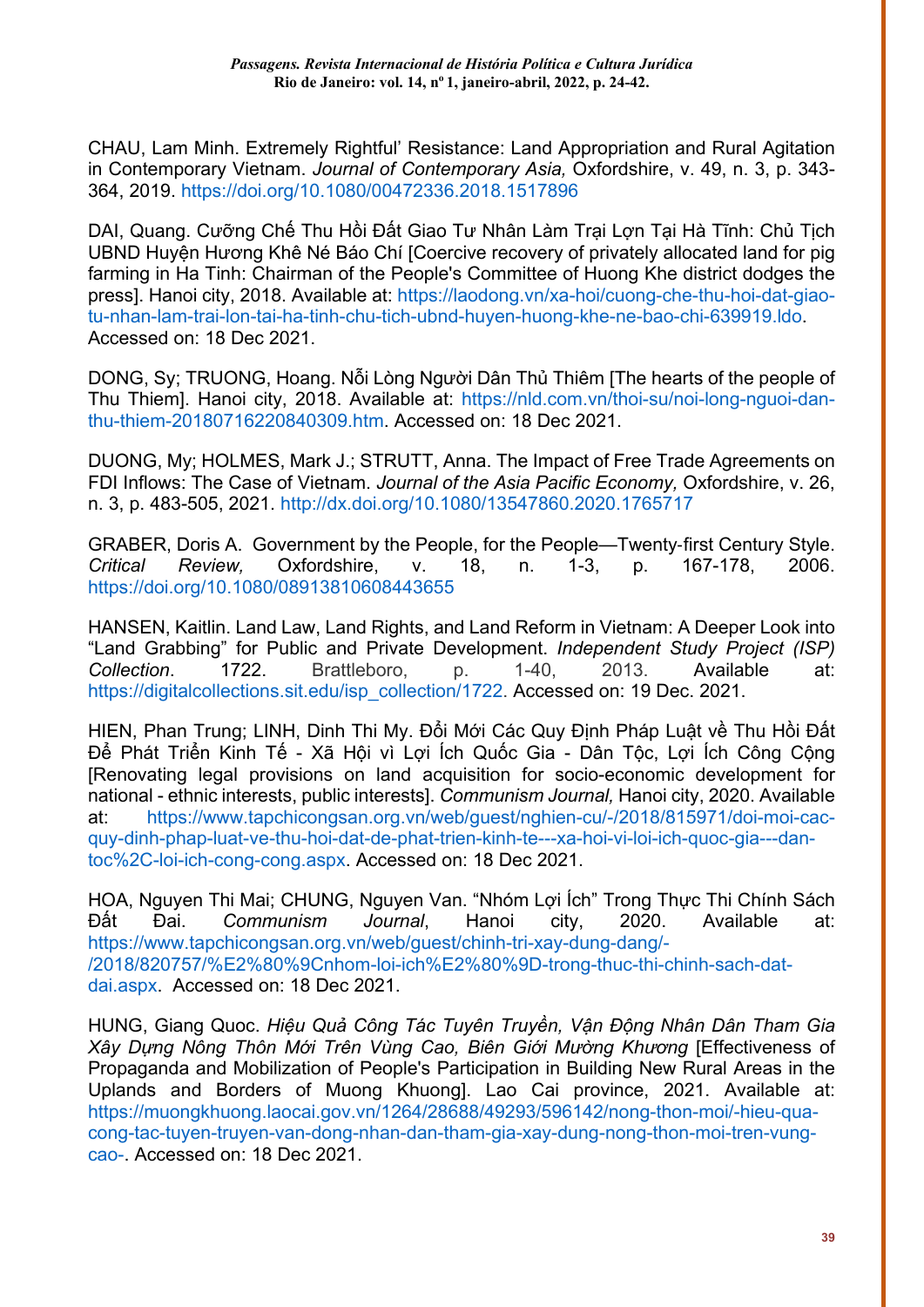CHAU, Lam Minh. Extremely Rightful' Resistance: Land Appropriation and Rural Agitation in Contemporary Vietnam. *Journal of Contemporary Asia,* Oxfordshire, v. 49, n. 3, p. 343- 364, 2019. <https://doi.org/10.1080/00472336.2018.1517896>

DAI, Quang. Cưỡng Chế Thu Hồi Đất Giao Tư Nhân Làm Trại Lợn Tại Hà Tĩnh: Chủ Tịch UBND Huyện Hương Khê Né Báo Chí [Coercive recovery of privately allocated land for pig farming in Ha Tinh: Chairman of the People's Committee of Huong Khe district dodges the press]. Hanoi city, 2018. Available at: [https://laodong.vn/xa-hoi/cuong-che-thu-hoi-dat-giao](https://laodong.vn/xa-hoi/cuong-che-thu-hoi-dat-giao-tu-nhan-lam-trai-lon-tai-ha-tinh-chu-tich-ubnd-huyen-huong-khe-ne-bao-chi-639919.ldo)[tu-nhan-lam-trai-lon-tai-ha-tinh-chu-tich-ubnd-huyen-huong-khe-ne-bao-chi-639919.ldo.](https://laodong.vn/xa-hoi/cuong-che-thu-hoi-dat-giao-tu-nhan-lam-trai-lon-tai-ha-tinh-chu-tich-ubnd-huyen-huong-khe-ne-bao-chi-639919.ldo) Accessed on: 18 Dec 2021.

DONG, Sy; TRUONG, Hoang. Nỗi Lòng Người Dân Thủ Thiêm [The hearts of the people of Thu Thiem]. Hanoi city, 2018. Available at: [https://nld.com.vn/thoi-su/noi-long-nguoi-dan](https://nld.com.vn/thoi-su/noi-long-nguoi-dan-thu-thiem-20180716220840309.htm)[thu-thiem-20180716220840309.htm.](https://nld.com.vn/thoi-su/noi-long-nguoi-dan-thu-thiem-20180716220840309.htm) Accessed on: 18 Dec 2021.

DUONG, My; HOLMES, Mark J.; STRUTT, Anna. The Impact of Free Trade Agreements on FDI Inflows: The Case of Vietnam. *Journal of the Asia Pacific Economy,* Oxfordshire, v. 26, n. 3, p. 483-505, 2021.<http://dx.doi.org/10.1080/13547860.2020.1765717>

GRABER, Doris A. Government by the People, for the People—Twenty-first Century Style.<br>Critical Review, Oxfordshire, v. 18, n. 1-3, p. 167-178, 2006. *Cxfordshire,* <https://doi.org/10.1080/08913810608443655>

HANSEN, Kaitlin. Land Law, Land Rights, and Land Reform in Vietnam: A Deeper Look into "Land Grabbing" for Public and Private Development. *Independent Study Project (ISP) Collection*. 1722. Brattleboro, p. 1-40, 2013. Available at: [https://digitalcollections.sit.edu/isp\\_collection/1722.](https://digitalcollections.sit.edu/isp_collection/1722) Accessed on: 19 Dec. 2021.

HIEN, Phan Trung; LINH, Dinh Thi My. Đổi Mới Các Quy Định Pháp Luật về Thu Hồi Đất Để Phát Triển Kinh Tế - Xã Hội vì Lợi Ích Quốc Gia - Dân Tộc, Lợi Ích Công Công [Renovating legal provisions on land acquisition for socio-economic development for national - ethnic interests, public interests]. *Communism Journal,* Hanoi city, 2020. Available at: [https://www.tapchicongsan.org.vn/web/guest/nghien-cu/-/2018/815971/doi-moi-cac](https://www.tapchicongsan.org.vn/web/guest/nghien-cu/-/2018/815971/doi-moi-cac-quy-dinh-phap-luat-ve-thu-hoi-dat-de-phat-trien-kinh-te---xa-hoi-vi-loi-ich-quoc-gia---dan-toc%2C-loi-ich-cong-cong.aspx)[quy-dinh-phap-luat-ve-thu-hoi-dat-de-phat-trien-kinh-te---xa-hoi-vi-loi-ich-quoc-gia---dan](https://www.tapchicongsan.org.vn/web/guest/nghien-cu/-/2018/815971/doi-moi-cac-quy-dinh-phap-luat-ve-thu-hoi-dat-de-phat-trien-kinh-te---xa-hoi-vi-loi-ich-quoc-gia---dan-toc%2C-loi-ich-cong-cong.aspx)[toc%2C-loi-ich-cong-cong.aspx.](https://www.tapchicongsan.org.vn/web/guest/nghien-cu/-/2018/815971/doi-moi-cac-quy-dinh-phap-luat-ve-thu-hoi-dat-de-phat-trien-kinh-te---xa-hoi-vi-loi-ich-quoc-gia---dan-toc%2C-loi-ich-cong-cong.aspx) Accessed on: 18 Dec 2021.

HOA, Nguyen Thi Mai; CHUNG, Nguyen Van. "Nhóm Lợi Ích" Trong Thực Thi Chính Sách Đất Đai. *Communism Journal*, Hanoi city, 2020. Available at: [https://www.tapchicongsan.org.vn/web/guest/chinh-tri-xay-dung-dang/-](https://www.tapchicongsan.org.vn/web/guest/chinh-tri-xay-dung-dang/-/2018/820757/%E2%80%9Cnhom-loi-ich%E2%80%9D-trong-thuc-thi-chinh-sach-dat-dai.aspx) [/2018/820757/%E2%80%9Cnhom-loi-ich%E2%80%9D-trong-thuc-thi-chinh-sach-dat](https://www.tapchicongsan.org.vn/web/guest/chinh-tri-xay-dung-dang/-/2018/820757/%E2%80%9Cnhom-loi-ich%E2%80%9D-trong-thuc-thi-chinh-sach-dat-dai.aspx)[dai.aspx.](https://www.tapchicongsan.org.vn/web/guest/chinh-tri-xay-dung-dang/-/2018/820757/%E2%80%9Cnhom-loi-ich%E2%80%9D-trong-thuc-thi-chinh-sach-dat-dai.aspx) Accessed on: 18 Dec 2021.

HUNG, Giang Quoc. *Hiệu Quả Công Tác Tuyên Truyền, Vận Động Nhân Dân Tham Gia Xây Dựng Nông Thôn Mới Trên Vùng Cao, Biên Giới Mường Khương* [Effectiveness of Propaganda and Mobilization of People's Participation in Building New Rural Areas in the Uplands and Borders of Muong Khuong]. Lao Cai province, 2021. Available at: [https://muongkhuong.laocai.gov.vn/1264/28688/49293/596142/nong-thon-moi/-hieu-qua](https://muongkhuong.laocai.gov.vn/1264/28688/49293/596142/nong-thon-moi/-hieu-qua-cong-tac-tuyen-truyen-van-dong-nhan-dan-tham-gia-xay-dung-nong-thon-moi-tren-vung-cao-)[cong-tac-tuyen-truyen-van-dong-nhan-dan-tham-gia-xay-dung-nong-thon-moi-tren-vung](https://muongkhuong.laocai.gov.vn/1264/28688/49293/596142/nong-thon-moi/-hieu-qua-cong-tac-tuyen-truyen-van-dong-nhan-dan-tham-gia-xay-dung-nong-thon-moi-tren-vung-cao-)[cao-.](https://muongkhuong.laocai.gov.vn/1264/28688/49293/596142/nong-thon-moi/-hieu-qua-cong-tac-tuyen-truyen-van-dong-nhan-dan-tham-gia-xay-dung-nong-thon-moi-tren-vung-cao-) Accessed on: 18 Dec 2021.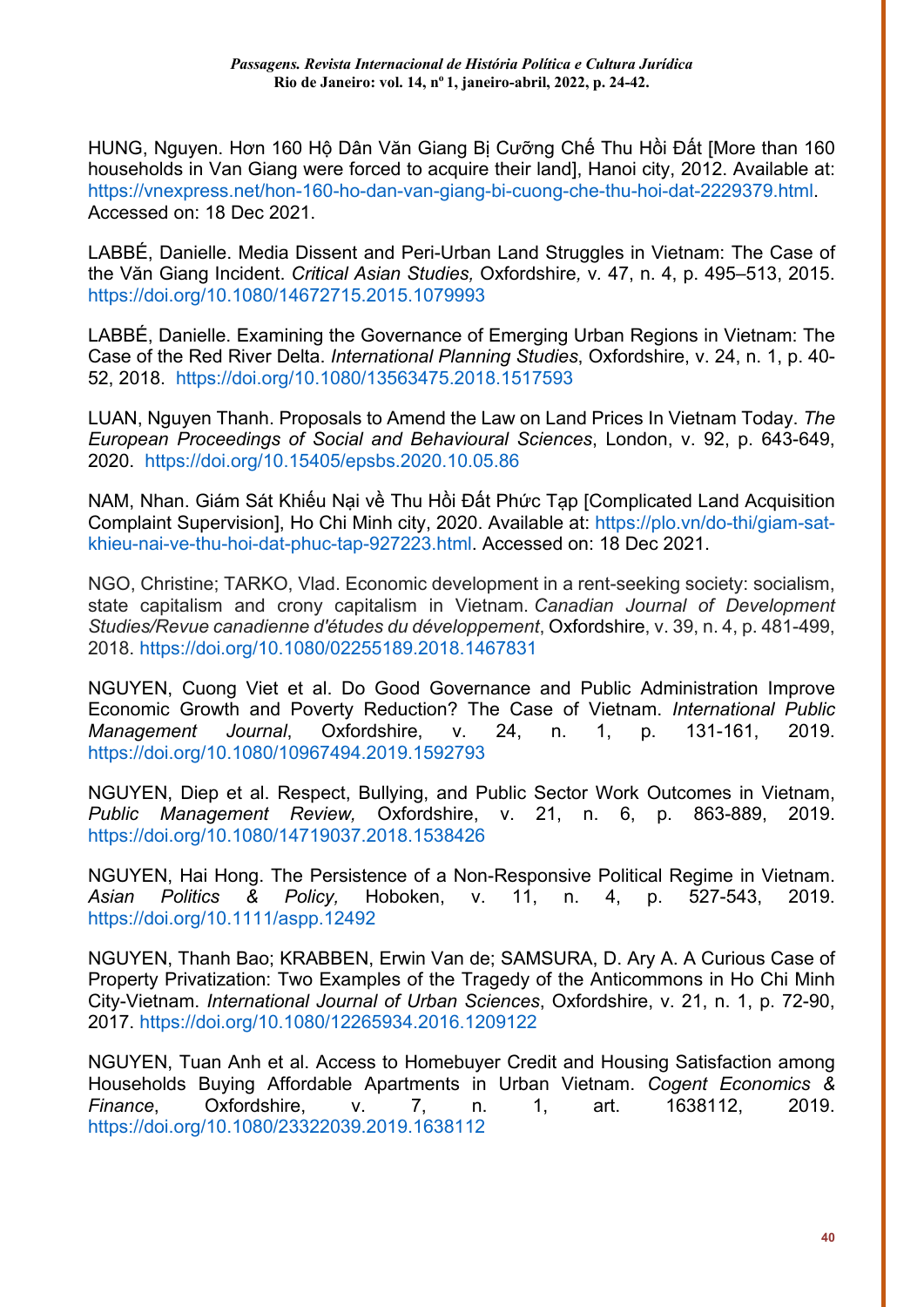HUNG, Nguyen. Hơn 160 Hộ Dân Văn Giang Bị Cưỡng Chế Thu Hồi Đất [More than 160 households in Van Giang were forced to acquire their land], Hanoi city, 2012. Available at: [https://vnexpress.net/hon-160-ho-dan-van-giang-bi-cuong-che-thu-hoi-dat-2229379.html.](https://vnexpress.net/hon-160-ho-dan-van-giang-bi-cuong-che-thu-hoi-dat-2229379.html) Accessed on: 18 Dec 2021.

LABBÉ, Danielle. Media Dissent and Peri-Urban Land Struggles in Vietnam: The Case of the Văn Giang Incident. *Critical Asian Studies,* Oxfordshire*,* v*.* 47, n. 4, p. 495–513, 2015. <https://doi.org/10.1080/14672715.2015.1079993>

LABBÉ, Danielle. Examining the Governance of Emerging Urban Regions in Vietnam: The Case of the Red River Delta. *International Planning Studies*, Oxfordshire, v. 24, n. 1, p. 40- 52, 2018. <https://doi.org/10.1080/13563475.2018.1517593>

LUAN, Nguyen Thanh. Proposals to Amend the Law on Land Prices In Vietnam Today. *The European Proceedings of Social and Behavioural Sciences*, London, v. 92, p. 643-649, 2020. <https://doi.org/10.15405/epsbs.2020.10.05.86>

NAM, Nhan. Giám Sát Khiếu Nại về Thu Hồi Đất Phức Tạp [Complicated Land Acquisition Complaint Supervision], Ho Chi Minh city, 2020. Available at: [https://plo.vn/do-thi/giam-sat](https://plo.vn/do-thi/giam-sat-khieu-nai-ve-thu-hoi-dat-phuc-tap-927223.html)[khieu-nai-ve-thu-hoi-dat-phuc-tap-927223.html.](https://plo.vn/do-thi/giam-sat-khieu-nai-ve-thu-hoi-dat-phuc-tap-927223.html) Accessed on: 18 Dec 2021.

NGO, Christine; TARKO, Vlad. Economic development in a rent-seeking society: socialism, state capitalism and crony capitalism in Vietnam. *Canadian Journal of Development Studies/Revue canadienne d'études du développement*, Oxfordshire, v. 39, n. 4, p. 481-499, 2018.<https://doi.org/10.1080/02255189.2018.1467831>

NGUYEN, Cuong Viet et al. Do Good Governance and Public Administration Improve Economic Growth and Poverty Reduction? The Case of Vietnam. *International Public Management Journal*, Oxfordshire, v. 24, n. 1, p. 131-161, 2019. <https://doi.org/10.1080/10967494.2019.1592793>

NGUYEN, Diep et al. Respect, Bullying, and Public Sector Work Outcomes in Vietnam, *Public Management Review,* Oxfordshire, v. 21, n. 6, p. 863-889, 2019. <https://doi.org/10.1080/14719037.2018.1538426>

NGUYEN, Hai Hong. The Persistence of a Non-Responsive Political Regime in Vietnam. *Asian Politics & Policy,* Hoboken, v. 11, n. 4, p. 527-543, 2019. <https://doi.org/10.1111/aspp.12492>

NGUYEN, Thanh Bao; KRABBEN, Erwin Van de; SAMSURA, D. Ary A. A Curious Case of Property Privatization: Two Examples of the Tragedy of the Anticommons in Ho Chi Minh City-Vietnam. *International Journal of Urban Sciences*, Oxfordshire, v. 21, n. 1, p. 72-90, 2017.<https://doi.org/10.1080/12265934.2016.1209122>

NGUYEN, Tuan Anh et al. Access to Homebuyer Credit and Housing Satisfaction among Households Buying Affordable Apartments in Urban Vietnam. *Cogent Economics & Finance*, Oxfordshire, v. 7, n. 1, art. 1638112, 2019. <https://doi.org/10.1080/23322039.2019.1638112>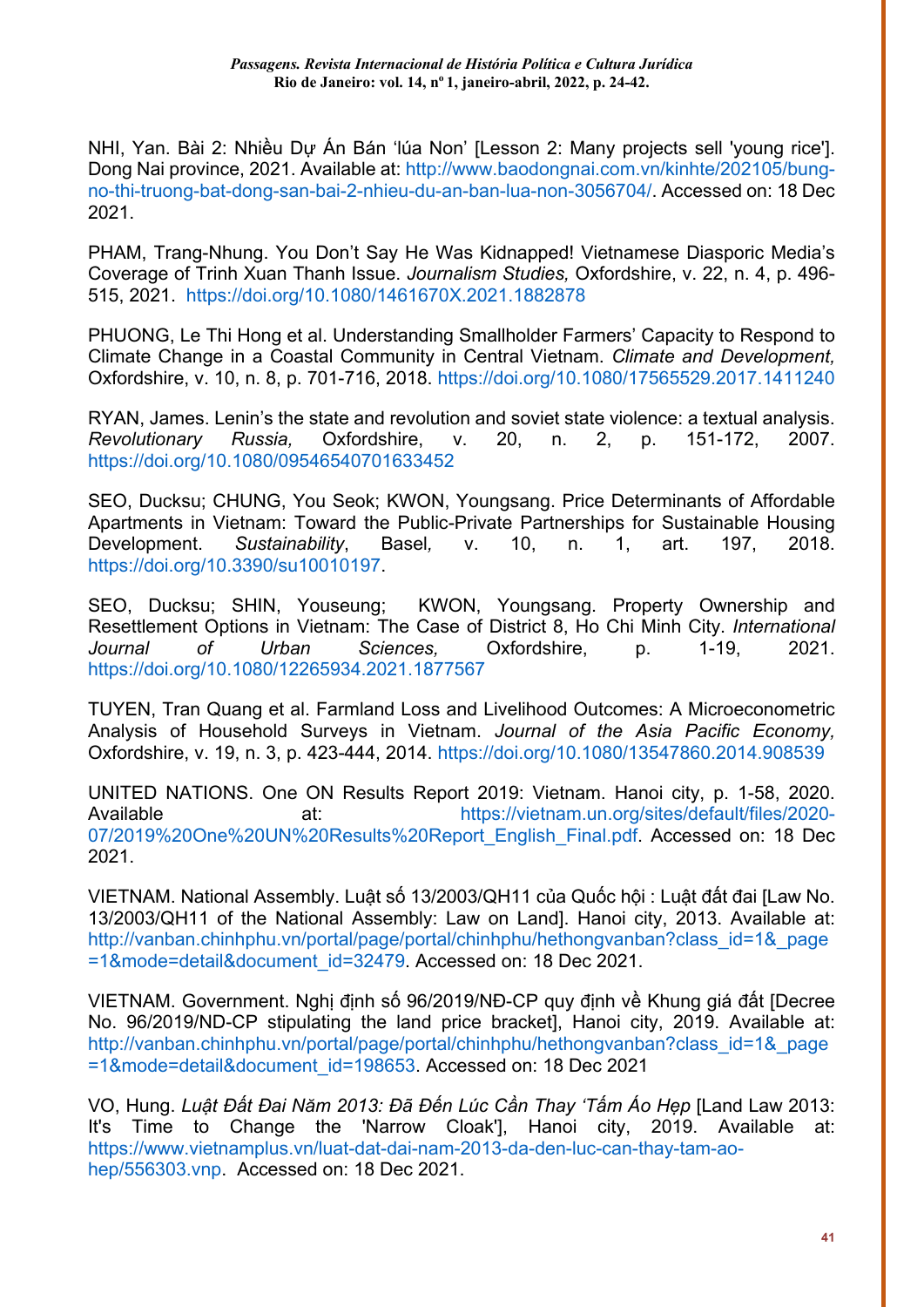NHI, Yan. Bài 2: Nhiều Dự Án Bán 'lúa Non' [Lesson 2: Many projects sell 'young rice']. Dong Nai province, 2021. Available at: [http://www.baodongnai.com.vn/kinhte/202105/bung](http://www.baodongnai.com.vn/kinhte/202105/bung-no-thi-truong-bat-dong-san-bai-2-nhieu-du-an-ban-lua-non-3056704/)[no-thi-truong-bat-dong-san-bai-2-nhieu-du-an-ban-lua-non-3056704/.](http://www.baodongnai.com.vn/kinhte/202105/bung-no-thi-truong-bat-dong-san-bai-2-nhieu-du-an-ban-lua-non-3056704/) Accessed on: 18 Dec 2021.

PHAM, Trang-Nhung. You Don't Say He Was Kidnapped! Vietnamese Diasporic Media's Coverage of Trinh Xuan Thanh Issue. *Journalism Studies,* Oxfordshire, v. 22, n. 4, p. 496- 515, 2021. <https://doi.org/10.1080/1461670X.2021.1882878>

PHUONG, Le Thi Hong et al. Understanding Smallholder Farmers' Capacity to Respond to Climate Change in a Coastal Community in Central Vietnam. *Climate and Development,* Oxfordshire, v. 10, n. 8, p. 701-716, 2018.<https://doi.org/10.1080/17565529.2017.1411240>

RYAN, James. Lenin's the state and revolution and soviet state violence: a textual analysis. *Revolutionary Russia,* Oxfordshire, v. 20, n. 2, p. 151-172, 2007. <https://doi.org/10.1080/09546540701633452>

SEO, Ducksu; CHUNG, You Seok; KWON, Youngsang. Price Determinants of Affordable Apartments in Vietnam: Toward the Public-Private Partnerships for Sustainable Housing Development. *Sustainability*, Basel*,* v. 10, n. 1, art. 197, 2018. [https://doi.org/10.3390/su10010197.](https://doi.org/10.3390/su10010197)

SEO, Ducksu; SHIN, Youseung; KWON, Youngsang. Property Ownership and Resettlement Options in Vietnam: The Case of District 8, Ho Chi Minh City. *International Journal of Urban Sciences,* Oxfordshire, p. 1-19, 2021. <https://doi.org/10.1080/12265934.2021.1877567>

TUYEN, Tran Quang et al. Farmland Loss and Livelihood Outcomes: A Microeconometric Analysis of Household Surveys in Vietnam. *Journal of the Asia Pacific Economy,* Oxfordshire, v. 19, n. 3, p. 423-444, 2014.<https://doi.org/10.1080/13547860.2014.908539>

UNITED NATIONS. One ON Results Report 2019: Vietnam. Hanoi city, p. 1-58, 2020. Available at: at: [https://vietnam.un.org/sites/default/files/2020-](https://vietnam.un.org/sites/default/files/2020-07/2019%20One%20UN%20Results%20Report_English_Final.pdf) [07/2019%20One%20UN%20Results%20Report\\_English\\_Final.pdf.](https://vietnam.un.org/sites/default/files/2020-07/2019%20One%20UN%20Results%20Report_English_Final.pdf) Accessed on: 18 Dec 2021.

VIETNAM. National Assembly. Luật số 13/2003/QH11 của Quốc hội : Luật đất đai [Law No. 13/2003/QH11 of the National Assembly: Law on Land]. Hanoi city, 2013. Available at: [http://vanban.chinhphu.vn/portal/page/portal/chinhphu/hethongvanban?class\\_id=1&\\_page](http://vanban.chinhphu.vn/portal/page/portal/chinhphu/hethongvanban?class_id=1&_page=1&mode=detail&document_id=32479) [=1&mode=detail&document\\_id=32479.](http://vanban.chinhphu.vn/portal/page/portal/chinhphu/hethongvanban?class_id=1&_page=1&mode=detail&document_id=32479) Accessed on: 18 Dec 2021.

VIETNAM. Government. Nghị định số 96/2019/NĐ-CP quy định về Khung giá đất [Decree No. 96/2019/ND-CP stipulating the land price bracket], Hanoi city, 2019. Available at: [http://vanban.chinhphu.vn/portal/page/portal/chinhphu/hethongvanban?class\\_id=1&\\_page](http://vanban.chinhphu.vn/portal/page/portal/chinhphu/hethongvanban?class_id=1&_page=1&mode=detail&document_id=198653) [=1&mode=detail&document\\_id=198653.](http://vanban.chinhphu.vn/portal/page/portal/chinhphu/hethongvanban?class_id=1&_page=1&mode=detail&document_id=198653) Accessed on: 18 Dec 2021

VO, Hung. *Luật Đất Đai Năm 2013: Đã Đến Lúc Cần Thay 'Tấm Áo Hẹp* [Land Law 2013: It's Time to Change the 'Narrow Cloak'], Hanoi city, 2019. Available at: [https://www.vietnamplus.vn/luat-dat-dai-nam-2013-da-den-luc-can-thay-tam-ao](https://www.vietnamplus.vn/luat-dat-dai-nam-2013-da-den-luc-can-thay-tam-ao-hep/556303.vnp)[hep/556303.vnp.](https://www.vietnamplus.vn/luat-dat-dai-nam-2013-da-den-luc-can-thay-tam-ao-hep/556303.vnp) Accessed on: 18 Dec 2021.